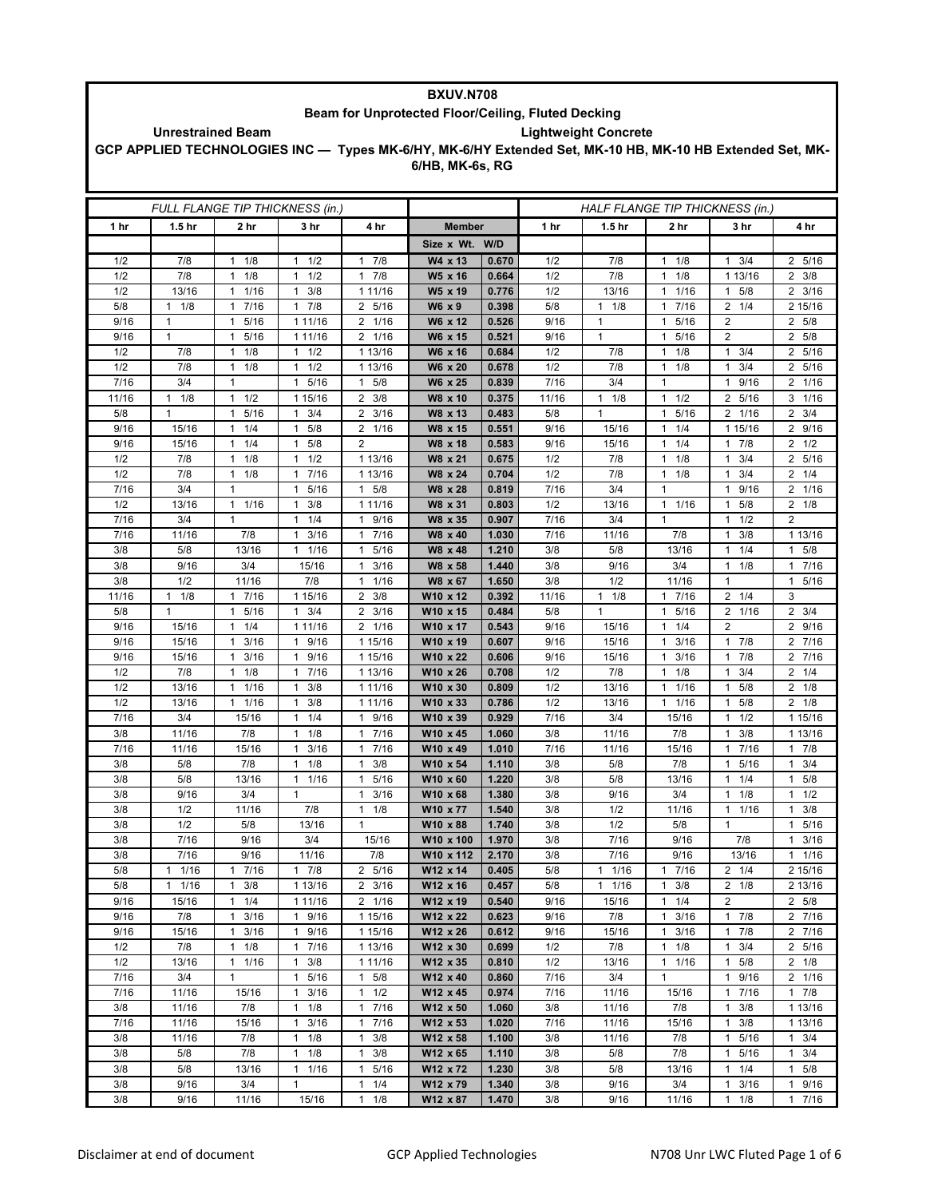| <b>BXUV.N708</b>                                        |                     |                            |                                             |                                              |                                                                                                          |                |             |                                 |                                     |                                            |                        |  |
|---------------------------------------------------------|---------------------|----------------------------|---------------------------------------------|----------------------------------------------|----------------------------------------------------------------------------------------------------------|----------------|-------------|---------------------------------|-------------------------------------|--------------------------------------------|------------------------|--|
| Beam for Unprotected Floor/Ceiling, Fluted Decking      |                     |                            |                                             |                                              |                                                                                                          |                |             |                                 |                                     |                                            |                        |  |
| <b>Lightweight Concrete</b><br><b>Unrestrained Beam</b> |                     |                            |                                             |                                              |                                                                                                          |                |             |                                 |                                     |                                            |                        |  |
|                                                         |                     |                            |                                             |                                              | GCP APPLIED TECHNOLOGIES INC - Types MK-6/HY, MK-6/HY Extended Set, MK-10 HB, MK-10 HB Extended Set, MK- |                |             |                                 |                                     |                                            |                        |  |
|                                                         |                     |                            |                                             |                                              | 6/HB, MK-6s, RG                                                                                          |                |             |                                 |                                     |                                            |                        |  |
|                                                         |                     |                            |                                             |                                              |                                                                                                          |                |             |                                 |                                     |                                            |                        |  |
|                                                         |                     |                            |                                             |                                              |                                                                                                          |                |             |                                 |                                     |                                            |                        |  |
|                                                         |                     |                            | FULL FLANGE TIP THICKNESS (in.)             |                                              |                                                                                                          |                |             | HALF FLANGE TIP THICKNESS (in.) |                                     |                                            |                        |  |
| 1 hr                                                    | 1.5 <sub>hr</sub>   | 2 hr                       | 3 hr                                        | 4 hr                                         | <b>Member</b>                                                                                            |                | 1 hr        | 1.5 <sub>hr</sub>               | 2 hr                                | 3 <sub>hr</sub>                            | 4 hr                   |  |
|                                                         |                     |                            |                                             |                                              | Size x Wt.                                                                                               | W/D            |             |                                 |                                     |                                            |                        |  |
| 1/2                                                     | 7/8                 | $1 \t1/8$                  | $1 \t1/2$                                   | 7/8<br>$\mathbf{1}$                          | W4 x 13                                                                                                  | 0.670          | 1/2         | 7/8                             | 1/8<br>$\mathbf{1}$                 | $\mathbf{1}$<br>3/4                        | 2 5/16                 |  |
| 1/2                                                     | 7/8                 | 1/8<br>$\mathbf{1}$        | 1/2<br>1                                    | 7/8<br>1                                     | W5 x 16                                                                                                  | 0.664          | 1/2         | 7/8                             | 1/8<br>1                            | 1 13/16                                    | $2 \frac{3}{8}$        |  |
| 1/2                                                     | 13/16               | 1/16<br>$\mathbf{1}$       | 3/8<br>1                                    | 1 11/16                                      | W5 x 19                                                                                                  | 0.776          | 1/2         | 13/16                           | 1/16<br>$\mathbf{1}$                | 5/8<br>1                                   | $\overline{2}$<br>3/16 |  |
| 5/8                                                     | 1/8<br>$\mathbf{1}$ | 7/16<br>$\mathbf{1}$       | 7/8<br>$\mathbf{1}$                         | 2 5/16                                       | W6 x 9                                                                                                   | 0.398          | 5/8         | 1/8<br>$\mathbf{1}$             | 7/16<br>$\mathbf{1}$                | $\overline{2}$<br>1/4                      | 2 15/16                |  |
| 9/16                                                    | $\mathbf{1}$        | 5/16<br>$\mathbf{1}$       | 1 11/16                                     | 2 1/16                                       | W6 x 12                                                                                                  | 0.526          | 9/16        | $\mathbf{1}$                    | 5/16<br>$\mathbf{1}$                | 2                                          | 2 5/8                  |  |
| 9/16                                                    | $\mathbf{1}$        | $\overline{1}$<br>5/16     | 1 11/16                                     | $\overline{2}$<br>1/16                       | W6 x 15                                                                                                  | 0.521          | 9/16        | $\mathbf{1}$                    | 5/16<br>$\mathbf{1}$                | $\overline{2}$                             | $\overline{2}$<br>5/8  |  |
| 1/2                                                     | 7/8                 | 1/8<br>1                   | $1 \t1/2$                                   | 1 13/16                                      | W6 x 16                                                                                                  | 0.684          | 1/2         | 7/8                             | 1/8<br>$\mathbf{1}$                 | $\mathbf{1}$<br>3/4                        | 2 5/16                 |  |
| 1/2                                                     | 7/8                 | $1 \t1/8$                  | $1 \t1/2$                                   | 1 13/16                                      | W6 x 20                                                                                                  | 0.678          | 1/2         | 7/8                             | 1/8<br>1                            | 3/4<br>$\mathbf{1}$                        | 2 5/16                 |  |
| 7/16                                                    | 3/4                 | $\mathbf{1}$               | 5/16<br>1                                   | 5/8<br>$\mathbf{1}$                          | W6 x 25                                                                                                  | 0.839          | 7/16        | 3/4                             | $\mathbf{1}$                        | 9/16<br>1                                  | 2 1/16                 |  |
| 11/16                                                   | 1/8<br>$\mathbf{1}$ | $\mathbf{1}$<br>1/2        | 1 15/16                                     | 3/8<br>2                                     | W8 x 10                                                                                                  | 0.375          | 11/16       | $1 \t1/8$                       | $\mathbf{1}$<br>1/2                 | 5/16<br>2                                  | $3 \t1/16$             |  |
| 5/8                                                     | $\mathbf{1}$        | 5/16<br>$\mathbf{1}$       | 3/4<br>$\mathbf{1}$                         | $\overline{2}$<br>3/16                       | W8 x 13                                                                                                  | 0.483          | 5/8         | $\mathbf{1}$                    | 5/16<br>$\mathbf{1}$                | 2 1/16                                     | $\overline{2}$<br>3/4  |  |
| 9/16                                                    | 15/16               | 1/4<br>$\mathbf{1}$        | 5/8<br>$\mathbf{1}$                         | $\overline{2}$<br>1/16                       | W8 x 15                                                                                                  | 0.551          | 9/16        | 15/16                           | 1/4<br>$\mathbf{1}$                 | 1 15/16                                    | 2 9/16                 |  |
| 9/16                                                    | 15/16               | 1/4<br>1<br>$\mathbf{1}$   | 5/8<br>1                                    | $\overline{2}$                               | W8 x 18                                                                                                  | 0.583          | 9/16        | 15/16                           | 1/4<br>$\mathbf{1}$<br>$\mathbf{1}$ | 7/8<br>1<br>$\mathbf{1}$                   | $2 \frac{1}{2}$        |  |
| 1/2<br>1/2                                              | 7/8                 | 1/8<br>1/8<br>$\mathbf{1}$ | 1/2<br>$\mathbf{1}$<br>7/16<br>$\mathbf{1}$ | 1 13/16<br>1 13/16                           | W8 x 21<br>W8 x 24                                                                                       | 0.675<br>0.704 | 1/2<br>1/2  | 7/8                             | 1/8<br>$\mathbf{1}$<br>1/8          | 3/4<br>3/4<br>$\mathbf{1}$                 | 2 5/16<br>$2 \t1/4$    |  |
| 7/16                                                    | 7/8<br>3/4          | $\mathbf{1}$               | 5/16<br>1                                   | 5/8<br>$\mathbf{1}$                          | W8 x 28                                                                                                  | 0.819          | 7/16        | 7/8<br>3/4                      | $\mathbf{1}$                        | 9/16<br>$\mathbf{1}$                       | 2 1/16                 |  |
| 1/2                                                     | 13/16               | 11/16                      | 3/8<br>1                                    | 1 11/16                                      | W8 x 31                                                                                                  | 0.803          | 1/2         | 13/16                           | $\mathbf{1}$<br>1/16                | 5/8<br>$\overline{1}$                      | $2 \t1/8$              |  |
| 7/16                                                    | 3/4                 | $\mathbf{1}$               | 1/4<br>$\mathbf{1}$                         | 9/16<br>$\mathbf{1}$                         | W8 x 35                                                                                                  | 0.907          | 7/16        | 3/4                             | $\mathbf{1}$                        | 1/2<br>$\mathbf{1}$                        | $\overline{2}$         |  |
| 7/16                                                    | 11/16               | 7/8                        | 3/16<br>$\mathbf{1}$                        | 7/16<br>$\mathbf{1}$                         | W8 x 40                                                                                                  | 1.030          | 7/16        | 11/16                           | 7/8                                 | 3/8<br>$\mathbf{1}$                        | 1 13/16                |  |
| 3/8                                                     | 5/8                 | 13/16                      | 1 1/16                                      | 5/16<br>$\mathbf{1}$                         | W8 x 48                                                                                                  | 1.210          | 3/8         | 5/8                             | 13/16                               | 1/4<br>1                                   | $\mathbf{1}$<br>5/8    |  |
| 3/8                                                     | 9/16                | 3/4                        | 15/16                                       | 3/16<br>$\mathbf{1}$                         | W8 x 58                                                                                                  | 1.440          | 3/8         | 9/16                            | 3/4                                 | 1/8<br>$\mathbf{1}$                        | 7/16<br>$\mathbf{1}$   |  |
| 3/8                                                     | 1/2                 | 11/16                      | 7/8                                         | 1/16<br>$\mathbf{1}$                         | W8 x 67                                                                                                  | 1.650          | 3/8         | 1/2                             | 11/16                               | $\mathbf{1}$                               | 5/16<br>$\mathbf{1}$   |  |
| 11/16                                                   | $\mathbf{1}$<br>1/8 | 7/16<br>1                  | 1 15/16                                     | 3/8<br>2                                     | W10 x 12                                                                                                 | 0.392          | 11/16       | $1 \t1/8$                       | 7/16<br>$\mathbf{1}$                | $\overline{2}$<br>1/4                      | 3                      |  |
| 5/8                                                     | 1                   | 5/16<br>1                  | 3/4<br>1                                    | $\overline{2}$<br>3/16                       | W10 x 15                                                                                                 | 0.484          | 5/8         | 1                               | 5/16<br>$\mathbf{1}$                | 2 1/16                                     | $2 \frac{3}{4}$        |  |
| 9/16                                                    | 15/16               | 1/4<br>1                   | 1 11/16                                     | 1/16<br>$\overline{2}$                       | W10 x 17                                                                                                 | 0.543          | 9/16        | 15/16                           | 1/4<br>$\mathbf{1}$                 | $\overline{2}$                             | $\overline{2}$<br>9/16 |  |
| 9/16                                                    | 15/16               | 3/16<br>$\mathbf{1}$       | 1 9/16                                      | 1 15/16                                      | W10 x 19                                                                                                 | 0.607          | 9/16        | 15/16                           | 3/16<br>$\mathbf{1}$                | $1 \t7/8$                                  | 2 7/16                 |  |
| 9/16                                                    | 15/16               | 3/16<br>$\mathbf{1}$       | 9/16<br>$\mathbf{1}$                        | 1 15/16                                      | W10 x 22                                                                                                 | 0.606          | 9/16        | 15/16                           | 3/16<br>1                           | 7/8<br>$\mathbf{1}$                        | 2 7/16                 |  |
| 1/2                                                     | 7/8                 | 1/8<br>$\mathbf{1}$        | 7/16<br>1                                   | 1 13/16                                      | W10 x 26                                                                                                 | 0.708          | 1/2         | 7/8                             | 1/8<br>$\mathbf{1}$                 | 3/4<br>1                                   | $\overline{2}$<br>1/4  |  |
| 1/2                                                     | 13/16               | 1/16<br>$\mathbf{1}$       | 3/8<br>$\mathbf{1}$                         | 1 11/16                                      | W10 x 30                                                                                                 | 0.809          | 1/2         | 13/16                           | 1/16<br>$\mathbf{1}$                | 5/8<br>1                                   | $2 \t1/8$              |  |
| 1/2                                                     | 13/16               | 11/16                      | 3/8<br>$\mathbf{1}$                         | 1 11/16                                      | W10 x 33                                                                                                 | 0.786          | 1/2         | 13/16                           | 1/16<br>$\mathbf{1}$                | 5/8<br>1                                   | $2 \t1/8$              |  |
| 7/16                                                    | 3/4                 | 15/16                      | 1/4<br>1                                    | 9/16<br>$\mathbf{1}$                         | W10 x 39                                                                                                 | 0.929          | 7/16        | 3/4                             | 15/16                               | $\overline{1}$<br>1/2                      | 1 15/16                |  |
| 3/8<br>7/16                                             | 11/16<br>11/16      | 7/8                        | 1/8<br>1<br>$1 \t3/16$                      | 7/16<br>$\mathbf{1}$<br>7/16                 | W10 x 45                                                                                                 | 1.060<br>1.010 | 3/8<br>7/16 | 11/16                           | 7/8                                 | 3/8<br>1<br>1 7/16                         | 1 13/16<br>17/8        |  |
| $3/8$                                                   | $5/8$               | 15/16<br>7/8               | $1 \t1/8$                                   | 1<br>3/8<br>1                                | W10 x 49<br>W10 x 54                                                                                     | 1.110          | 3/8         | 11/16<br>5/8                    | 15/16<br>$7/8$                      | 5/16                                       | 3/4<br>$\mathbf{1}$    |  |
| 3/8                                                     | 5/8                 | 13/16                      | 1 1/16                                      | $\mathbf{1}$<br>5/16                         | W10 x 60                                                                                                 | 1.220          | 3/8         | 5/8                             | 13/16                               | $1 \t1/4$                                  | $1 \t5/8$              |  |
| 3/8                                                     | 9/16                | 3/4                        | $\mathbf{1}$                                | 3/16<br>$\mathbf{1}$                         | W10 x 68                                                                                                 | 1.380          | 3/8         | 9/16                            | 3/4                                 | $1 \t1/8$                                  | $1 \t1/2$              |  |
| 3/8                                                     | 1/2                 | 11/16                      | 7/8                                         | $1 \t1/8$                                    | W10 x 77                                                                                                 | 1.540          | 3/8         | 1/2                             | 11/16                               | 1 1/16                                     | $1 \t3/8$              |  |
| 3/8                                                     | 1/2                 | 5/8                        | 13/16                                       | $\mathbf{1}$                                 | W10 x 88                                                                                                 | 1.740          | 3/8         | 1/2                             | 5/8                                 | $\mathbf{1}$                               | 5/16<br>$\mathbf{1}$   |  |
| 3/8                                                     | 7/16                | 9/16                       | 3/4                                         | 15/16                                        | W10 x 100                                                                                                | 1.970          | 3/8         | 7/16                            | 9/16                                | 7/8                                        | $1 \t3/16$             |  |
| 3/8                                                     | 7/16                | 9/16                       | 11/16                                       | 7/8                                          | W10 x 112                                                                                                | 2.170          | 3/8         | 7/16                            | 9/16                                | 13/16                                      | $1 \t1/16$             |  |
| 5/8                                                     | $1 \t1/16$          | 17/16                      | $1 \t7/8$                                   | 2 5/16                                       | W12 x 14                                                                                                 | 0.405          | 5/8         | 11/16                           | 17/16                               | $2 \t1/4$                                  | 2 15/16                |  |
| 5/8                                                     | $1 \t1/16$          | $\mathbf{1}$<br>3/8        | 1 13/16                                     | $2 \frac{3}{16}$                             | W12 x 16                                                                                                 | 0.457          | 5/8         | 11/16                           | $\mathbf{1}$<br>3/8                 | $2 \t1/8$                                  | 2 13/16                |  |
| 9/16                                                    | 15/16               | 1/4<br>$\mathbf{1}$        | 1 11/16                                     | 2 1/16                                       | W12 x 19                                                                                                 | 0.540          | 9/16        | 15/16                           | $1 \t1/4$                           | $\overline{2}$                             | 2 5/8                  |  |
| 9/16                                                    | 7/8                 | 3/16<br>$\mathbf{1}$       | 1 9/16                                      | 1 15/16                                      | W12 x 22                                                                                                 | 0.623          | 9/16        | 7/8                             | $\mathbf{1}$<br>3/16                | 17/8                                       | 2 7/16                 |  |
| 9/16                                                    | 15/16               | 3/16<br>$\mathbf{1}$       | 1 9/16                                      | 1 15/16                                      | W12 x 26                                                                                                 | 0.612          | 9/16        | 15/16                           | 3/16<br>$\mathbf{1}$                | $\mathbf{1}$<br>7/8                        | 2 7/16                 |  |
| 1/2                                                     | 7/8                 | 1/8<br>$\mathbf{1}$        | 1 7/16                                      | 1 13/16                                      | W12 x 30                                                                                                 | 0.699          | 1/2         | 7/8                             | $1 \t1/8$                           | 3/4<br>$\mathbf{1}$                        | 2 5/16                 |  |
| 1/2                                                     | 13/16               | 11/16                      | $1 \t3/8$                                   | 1 11/16                                      | W12 x 35                                                                                                 | 0.810          | 1/2         | 13/16                           | $1 \t1/16$                          | 5/8<br>$\mathbf{1}$                        | $2 \t1/8$              |  |
| 7/16                                                    | 3/4                 | $\mathbf{1}$               | 1 5/16                                      | $\mathbf{1}$<br>5/8                          | W12 x 40                                                                                                 | 0.860          | 7/16        | 3/4                             | $\mathbf{1}$                        | $\mathbf{1}$<br>9/16                       | 2 1/16                 |  |
| 7/16<br>3/8                                             | 11/16               | 15/16                      | 3/16<br>1                                   | $1 \t1/2$                                    | W12 x 45                                                                                                 | 0.974          | 7/16        | 11/16                           | 15/16                               | 7/16<br>$\mathbf{1}$                       | 17/8                   |  |
| 7/16                                                    | 11/16<br>11/16      | 7/8<br>15/16               | 1/8<br>$\mathbf{1}$<br>$1 \t3/16$           | 7/16<br>$\mathbf{1}$<br>7/16<br>$\mathbf{1}$ | W12 x 50<br>W12 x 53                                                                                     | 1.060<br>1.020 | 3/8<br>7/16 | 11/16<br>11/16                  | 7/8<br>15/16                        | 3/8<br>$\mathbf{1}$<br>$\mathbf{1}$<br>3/8 | 1 13/16<br>1 13/16     |  |
| 3/8                                                     | 11/16               | 7/8                        | $1 \t1/8$                                   | 3/8<br>1                                     | $W12 \times 58$                                                                                          | 1.100          | 3/8         | 11/16                           | 7/8                                 | 5/16<br>$\mathbf{1}$                       | $1 \t3/4$              |  |
| 3/8                                                     | 5/8                 | 7/8                        | 1/8<br>$\mathbf{1}$                         | 3/8<br>1                                     | W12 x 65                                                                                                 | 1.110          | 3/8         | 5/8                             | 7/8                                 | $\mathbf{1}$<br>5/16                       | $1 \t3/4$              |  |
| 3/8                                                     | 5/8                 | 13/16                      | 11/16                                       | 5/16<br>$\mathbf{1}$                         | W12 x 72                                                                                                 | 1.230          | 3/8         | 5/8                             | 13/16                               | 1/4<br>$\mathbf{1}$                        | $1 \t5/8$              |  |
| 3/8                                                     | 9/16                | 3/4                        | 1                                           | 1/4<br>$\mathbf{1}$                          | W12 x 79                                                                                                 | 1.340          | 3/8         | 9/16                            | 3/4                                 | $1 \t3/16$                                 | 1 9/16                 |  |
| 3/8                                                     | 9/16                | 11/16                      | 15/16                                       | 1/8<br>$\mathbf{1}$                          | W12 x 87                                                                                                 | 1.470          | 3/8         | 9/16                            | 11/16                               | $1 \t1/8$                                  | 17/16                  |  |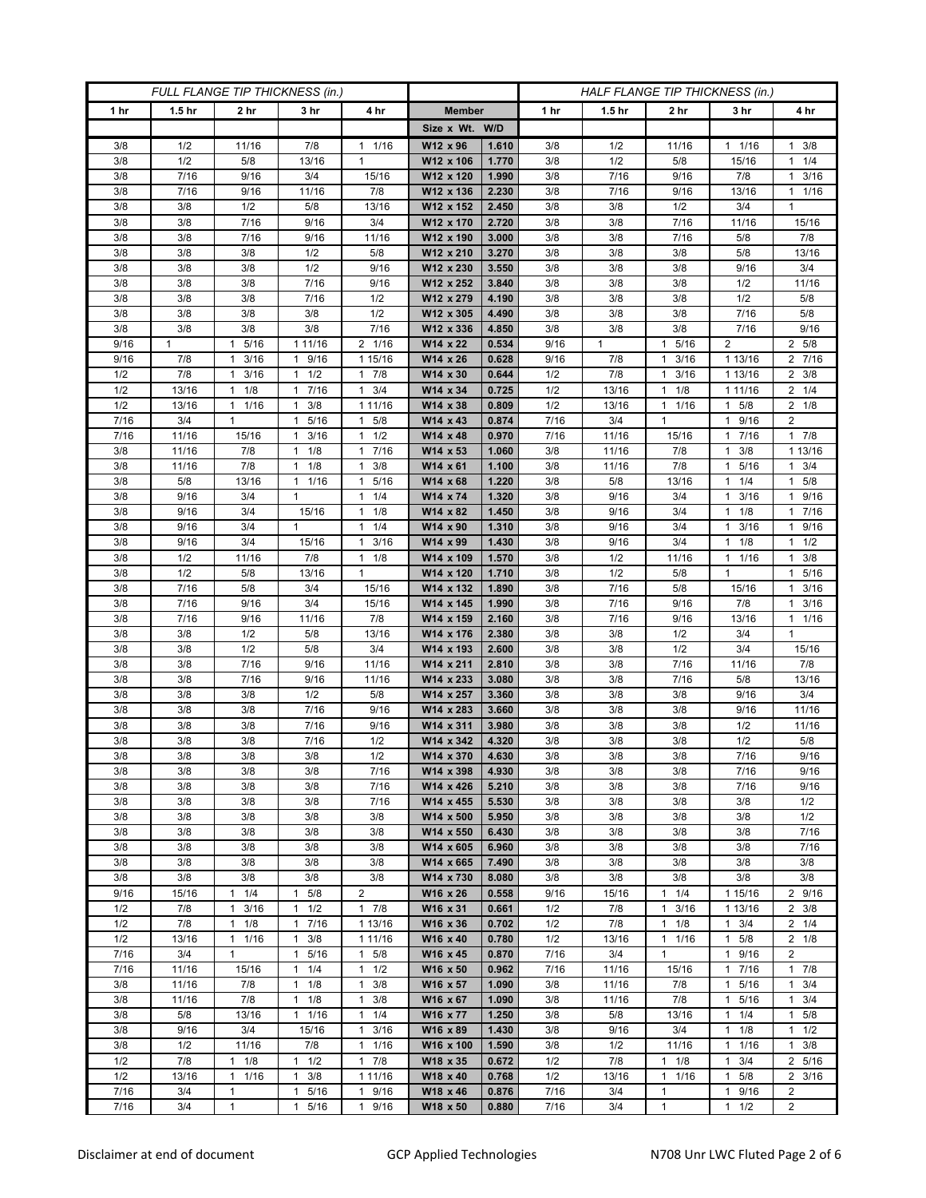| FULL FLANGE TIP THICKNESS (in.) |                   |                      |                                |                                             | HALF FLANGE TIP THICKNESS (in.) |                |             |                   |                                      |                             |                                    |
|---------------------------------|-------------------|----------------------|--------------------------------|---------------------------------------------|---------------------------------|----------------|-------------|-------------------|--------------------------------------|-----------------------------|------------------------------------|
| 1 hr                            | 1.5 <sub>hr</sub> | 2 <sub>hr</sub>      | 3 <sub>hr</sub>                | 4 hr                                        | <b>Member</b>                   |                | 1 hr        | 1.5 <sub>hr</sub> | 2 <sub>hr</sub>                      | 3 hr                        | 4 hr                               |
|                                 |                   |                      |                                |                                             | Size x Wt. W/D                  |                |             |                   |                                      |                             |                                    |
| 3/8                             | 1/2               | 11/16                | 7/8                            | 1/16<br>1                                   | W12 x 96                        | 1.610          | 3/8         | 1/2               | 11/16                                | $1 \t1/16$                  | $1 \t3/8$                          |
| 3/8                             | 1/2               | 5/8                  | 13/16                          | $\mathbf{1}$                                | W12 x 106                       | 1.770          | 3/8         | 1/2               | 5/8                                  | 15/16                       | $1 \t1/4$                          |
| 3/8                             | 7/16              | 9/16                 | 3/4                            | 15/16                                       | W12 x 120                       | 1.990          | 3/8         | 7/16              | 9/16                                 | 7/8                         | $1 \t3/16$                         |
| 3/8                             | 7/16              | 9/16                 | 11/16                          | 7/8                                         | W12 x 136                       | 2.230          | 3/8         | 7/16              | 9/16                                 | 13/16                       | $1 \t1/16$                         |
| 3/8                             | 3/8               | 1/2                  | 5/8                            | 13/16                                       | W12 x 152                       | 2.450          | 3/8         | 3/8               | 1/2                                  | 3/4                         | $\mathbf{1}$                       |
| 3/8                             | 3/8               | 7/16                 | 9/16                           | 3/4                                         | W12 x 170                       | 2.720          | 3/8         | 3/8               | 7/16                                 | 11/16                       | 15/16                              |
| 3/8                             | 3/8               | 7/16                 | 9/16                           | 11/16                                       | W12 x 190                       | 3.000          | 3/8         | 3/8               | 7/16                                 | 5/8                         | 7/8                                |
| 3/8<br>3/8                      | 3/8<br>3/8        | 3/8<br>3/8           | 1/2<br>1/2                     | 5/8<br>9/16                                 | W12 x 210<br>W12 x 230          | 3.270<br>3.550 | 3/8<br>3/8  | 3/8<br>3/8        | 3/8<br>3/8                           | 5/8<br>9/16                 | 13/16<br>3/4                       |
| 3/8                             | 3/8               | 3/8                  | 7/16                           | 9/16                                        | W12 x 252                       | 3.840          | 3/8         | 3/8               | 3/8                                  | 1/2                         | 11/16                              |
| 3/8                             | 3/8               | 3/8                  | 7/16                           | 1/2                                         | W12 x 279                       | 4.190          | 3/8         | 3/8               | 3/8                                  | 1/2                         | 5/8                                |
| 3/8                             | 3/8               | 3/8                  | 3/8                            | 1/2                                         | W12 x 305                       | 4.490          | 3/8         | 3/8               | 3/8                                  | 7/16                        | 5/8                                |
| 3/8                             | 3/8               | 3/8                  | 3/8                            | 7/16                                        | W12 x 336                       | 4.850          | 3/8         | 3/8               | 3/8                                  | 7/16                        | 9/16                               |
| 9/16                            | $\mathbf{1}$      | 5/16<br>$\mathbf{1}$ | 1 11/16                        | 2 1/16                                      | W14 x 22                        | 0.534          | 9/16        | $\mathbf{1}$      | 5/16<br>$\mathbf{1}$                 | 2                           | 2 5/8                              |
| 9/16                            | 7/8               | 3/16<br>1            | 1 9/16                         | 1 15/16                                     | W14 x 26                        | 0.628          | 9/16        | 7/8               | 3/16<br>$\mathbf{1}$                 | 1 13/16                     | 2 7/16                             |
| 1/2                             | 7/8               | 3/16<br>1            | $1 \t1/2$                      | 7/8<br>$\mathbf{1}$                         | W14 x 30                        | 0.644          | 1/2         | 7/8               | 3/16<br>$\mathbf{1}$                 | 1 13/16                     | $2 \frac{3}{8}$                    |
| 1/2                             | 13/16             | 1/8<br>1             | 7/16<br>$\mathbf{1}$           | 3/4<br>$\mathbf{1}$                         | W14 x 34                        | 0.725          | 1/2         | 13/16             | 1/8<br>$\mathbf{1}$                  | 1 11/16                     | $2 \t1/4$                          |
| 1/2                             | 13/16             | $1 \t1/16$           | $1 \t3/8$                      | 1 1 1/16                                    | W14 x 38                        | 0.809          | 1/2         | 13/16             | $1 \t1/16$                           | $1 \t5/8$                   | $2 \t1/8$                          |
| 7/16                            | 3/4               | 1                    | 5/16<br>$\mathbf{1}$           | 5/8<br>1                                    | W14 x 43                        | 0.874          | 7/16        | 3/4               | $\mathbf{1}$                         | 1 9/16                      | 2                                  |
| 7/16                            | 11/16             | 15/16                | 3/16<br>1                      | 1/2<br>$\mathbf{1}$                         | W14 x 48                        | 0.970          | 7/16        | 11/16             | 15/16                                | 7/16<br>1                   | 17/8                               |
| 3/8                             | 11/16             | 7/8                  | $1 \t1/8$                      | 7/16<br>$\mathbf{1}$                        | W14 x 53                        | 1.060          | 3/8         | 11/16             | 7/8                                  | 3/8<br>1                    | 1 13/16                            |
| 3/8                             | 11/16             | 7/8                  | $1 \t1/8$                      | 3/8<br>1                                    | W14 x 61                        | 1.100          | 3/8         | 11/16             | 7/8                                  | 1 5/16                      | $1 \t3/4$                          |
| 3/8                             | 5/8               | 13/16                | 1/16<br>1                      | 5/16<br>1                                   | W14 x 68                        | 1.220          | 3/8         | 5/8               | 13/16                                | 1/4                         | 5/8<br>1                           |
| 3/8                             | 9/16              | 3/4                  | $\mathbf{1}$                   | 1/4<br>$\mathbf{1}$                         | W14 x 74                        | 1.320          | 3/8         | 9/16              | 3/4                                  | 3/16<br>1                   | 1 9/16                             |
| 3/8                             | 9/16              | 3/4                  | 15/16                          | 1/8<br>1                                    | W14 x 82                        | 1.450          | 3/8         | 9/16              | 3/4                                  | $1 \t1/8$                   | 17/16                              |
| 3/8<br>3/8                      | 9/16<br>9/16      | 3/4<br>3/4           | 1<br>15/16                     | 1/4<br>$\mathbf{1}$<br>3/16<br>$\mathbf{1}$ | W14 x 90<br>W14 x 99            | 1.310<br>1.430 | 3/8<br>3/8  | 9/16<br>9/16      | 3/4<br>3/4                           | 3/16<br>1/8<br>1            | 1 9/16<br>$1 \t1/2$                |
| 3/8                             | 1/2               | 11/16                | 7/8                            | 1/8<br>$\mathbf{1}$                         | W14 x 109                       | 1.570          | 3/8         | 1/2               | 11/16                                | 11/16                       | $1 \t3/8$                          |
| 3/8                             | 1/2               | 5/8                  | 13/16                          | $\mathbf{1}$                                | W14 x 120                       | 1.710          | 3/8         | 1/2               | 5/8                                  | 1                           | 5/16<br>$\mathbf{1}$               |
| 3/8                             | 7/16              | 5/8                  | 3/4                            | 15/16                                       | W14 x 132                       | 1.890          | 3/8         | 7/16              | 5/8                                  | 15/16                       | $1 \t3/16$                         |
| 3/8                             | 7/16              | 9/16                 | 3/4                            | 15/16                                       | W14 x 145                       | 1.990          | 3/8         | 7/16              | 9/16                                 | 7/8                         | $1 \t3/16$                         |
| 3/8                             | 7/16              | 9/16                 | 11/16                          | 7/8                                         | W14 x 159                       | 2.160          | 3/8         | 7/16              | 9/16                                 | 13/16                       | $1 \t1/16$                         |
| 3/8                             | 3/8               | 1/2                  | 5/8                            | 13/16                                       | W14 x 176                       | 2.380          | 3/8         | 3/8               | 1/2                                  | 3/4                         | $\mathbf{1}$                       |
| 3/8                             | 3/8               | 1/2                  | 5/8                            | 3/4                                         | W14 x 193                       | 2.600          | 3/8         | 3/8               | 1/2                                  | 3/4                         | 15/16                              |
| 3/8                             | 3/8               | 7/16                 | 9/16                           | 11/16                                       | W14 x 211                       | 2.810          | 3/8         | 3/8               | 7/16                                 | 11/16                       | 7/8                                |
| 3/8                             | 3/8               | 7/16                 | 9/16                           | 11/16                                       | W14 x 233                       | 3.080          | 3/8         | 3/8               | 7/16                                 | 5/8                         | 13/16                              |
| 3/8                             | 3/8               | 3/8                  | 1/2                            | 5/8                                         | W14 x 257                       | 3.360          | 3/8         | 3/8               | 3/8                                  | 9/16                        | 3/4                                |
| 3/8                             | 3/8               | 3/8                  | 7/16                           | 9/16                                        | W14 x 283                       | 3.660          | 3/8         | 3/8               | 3/8                                  | 9/16                        | 11/16                              |
| 3/8                             | 3/8               | 3/8                  | 7/16                           | 9/16                                        | W14 x 311                       | 3.980          | 3/8         | 3/8               | 3/8                                  | 1/2                         | 11/16                              |
| 3/8                             | 3/8               | 3/8                  | 7/16                           | 1/2                                         | W14 x 342                       | 4.320          | 3/8         | 3/8               | 3/8                                  | 1/2                         | 5/8                                |
| 3/8                             | 3/8               | 3/8                  | 3/8                            | 1/2                                         | W14 x 370                       | 4.630          | 3/8         | 3/8               | 3/8                                  | 7/16                        | 9/16                               |
| 3/8                             | 3/8               | 3/8                  | 3/8                            | 7/16                                        | W14 x 398<br>W14 x 426          | 4.930          | 3/8         | 3/8               | 3/8                                  | 7/16                        | 9/16                               |
| 3/8<br>3/8                      | 3/8<br>3/8        | 3/8<br>3/8           | 3/8<br>3/8                     | 7/16<br>7/16                                | W14 x 455                       | 5.210<br>5.530 | 3/8<br>3/8  | 3/8<br>3/8        | 3/8<br>3/8                           | 7/16<br>3/8                 | 9/16<br>1/2                        |
| 3/8                             | 3/8               | 3/8                  | 3/8                            | 3/8                                         | W14 x 500                       | 5.950          | 3/8         | 3/8               | 3/8                                  | 3/8                         | 1/2                                |
| 3/8                             | 3/8               | 3/8                  | 3/8                            | 3/8                                         | W14 x 550                       | 6.430          | 3/8         | 3/8               | 3/8                                  | 3/8                         | 7/16                               |
| 3/8                             | 3/8               | 3/8                  | 3/8                            | 3/8                                         | W14 x 605                       | 6.960          | 3/8         | 3/8               | 3/8                                  | 3/8                         | 7/16                               |
| 3/8                             | 3/8               | 3/8                  | 3/8                            | 3/8                                         | W14 x 665                       | 7.490          | 3/8         | 3/8               | 3/8                                  | 3/8                         | 3/8                                |
| 3/8                             | 3/8               | 3/8                  | 3/8                            | 3/8                                         | W14 x 730                       | 8.080          | 3/8         | 3/8               | 3/8                                  | 3/8                         | 3/8                                |
| 9/16                            | 15/16             | $1 \t1/4$            | 5/8<br>$\mathbf{1}$            | $\overline{2}$                              | W16 x 26                        | 0.558          | 9/16        | 15/16             | $1 \t1/4$                            | 1 15/16                     | 2 9/16                             |
| 1/2                             | 7/8               | 3/16<br>1            | 1/2<br>1                       | $1 \t7/8$                                   | W16 x 31                        | 0.661          | 1/2         | 7/8               | 3/16<br>$\mathbf{1}$                 | 1 13/16                     | $2 \frac{3}{8}$                    |
| 1/2                             | 7/8               | 1/8<br>1             | 17/16                          | 1 13/16                                     | W16 x 36                        | 0.702          | 1/2         | 7/8               | $\mathbf{1}$<br>1/8                  | $1 \t3/4$                   | $2 \t1/4$                          |
| 1/2                             | 13/16             | 11/16                | $1 \t3/8$                      | 1 11/16                                     | W16 x 40                        | 0.780          | 1/2         | 13/16             | 1/16<br>$\mathbf{1}$                 | $1 \t5/8$                   | $2 \t1/8$                          |
| 7/16                            | 3/4               | 1                    | 5/16<br>$\mathbf{1}$           | 5/8<br>$\mathbf{1}$                         | W16 x 45                        | 0.870          | 7/16        | 3/4               | $\mathbf{1}$                         | 9/16<br>1                   | $\overline{2}$                     |
| 7/16                            | 11/16             | 15/16                | 1/4<br>$\mathbf{1}$            | $\mathbf{1}$<br>1/2                         | W16 x 50                        | 0.962          | 7/16        | 11/16             | 15/16                                | 7/16<br>1                   | 17/8                               |
| 3/8                             | 11/16             | 7/8                  | $\mathbf{1}$<br>1/8            | 3/8<br>$\mathbf{1}$                         | W16 x 57                        | 1.090          | 3/8         | 11/16             | 7/8                                  | 5/16<br>1                   | $1 \t3/4$                          |
| 3/8                             | 11/16             | 7/8                  | $1 \t1/8$                      | 3/8<br>$\mathbf{1}$                         | W16 x 67                        | 1.090          | 3/8         | 11/16             | 7/8                                  | 5/16<br>$\mathbf{1}$        | $1 \t3/4$                          |
| 3/8                             | 5/8               | 13/16                | 1 1/16                         | 1/4<br>1                                    | W16 x 77                        | 1.250          | 3/8         | 5/8               | 13/16                                | 1/4<br>1                    | 1 5/8                              |
| 3/8                             | 9/16              | 3/4                  | 15/16                          | 3/16<br>$\mathbf{1}$                        | W16 x 89                        | 1.430          | 3/8         | 9/16              | 3/4                                  | 1/8<br>$\mathbf{1}$         | $1 \t1/2$                          |
| 3/8                             | 1/2               | 11/16                | 7/8                            | 1/16<br>$\mathbf{1}$                        | W16 x 100                       | 1.590          | 3/8         | 1/2               | 11/16                                | 1/16<br>$\mathbf{1}$        | $1 \t3/8$                          |
| 1/2                             | 7/8               | $1 \t1/8$<br>1       | 1/2<br>$\mathbf{1}$<br>1       | 7/8<br>$\mathbf{1}$                         | W18 x 35                        | 0.672          | 1/2         | 7/8               | 1/8<br>$\mathbf{1}$                  | 3/4<br>1                    | 2 5/16                             |
| 1/2<br>7/16                     | 13/16<br>3/4      | 1/16<br>1            | 3/8<br>$\mathbf{1}$            | 1 11/16<br>9/16<br>1                        | W18 x 40<br>W18 x 46            | 0.768<br>0.876 | 1/2<br>7/16 | 13/16<br>3/4      | $\mathbf{1}$<br>1/16<br>$\mathbf{1}$ | 5/8<br>1                    | $2 \frac{3}{16}$<br>$\overline{2}$ |
| 7/16                            | 3/4               | $\mathbf{1}$         | 5/16<br>$5/16$<br>$\mathbf{1}$ | 9/16<br>$\mathbf{1}$                        | W18 x 50                        | 0.880          | 7/16        | 3/4               | $\mathbf{1}$                         | 9/16<br>1/2<br>$\mathbf{1}$ | $\overline{2}$                     |
|                                 |                   |                      |                                |                                             |                                 |                |             |                   |                                      |                             |                                    |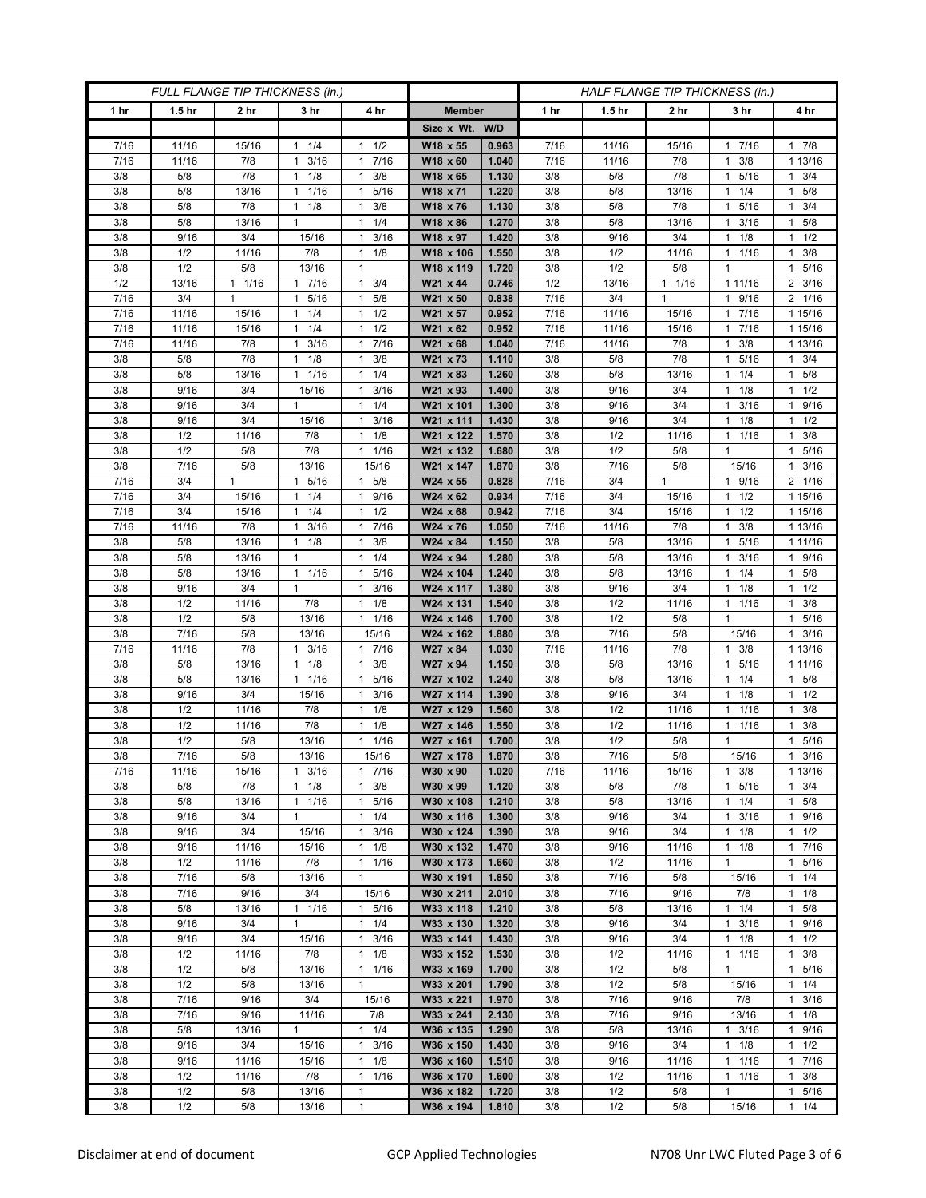| FULL FLANGE TIP THICKNESS (in.) |                   |                      |                            |                                   | HALF FLANGE TIP THICKNESS (in.) |                |              |                   |                 |                                             |                        |
|---------------------------------|-------------------|----------------------|----------------------------|-----------------------------------|---------------------------------|----------------|--------------|-------------------|-----------------|---------------------------------------------|------------------------|
| 1 hr                            | 1.5 <sub>hr</sub> | 2 hr                 | 3 <sub>hr</sub>            | 4 hr                              | <b>Member</b>                   |                | 1 hr         | 1.5 <sub>hr</sub> | 2 <sub>hr</sub> | 3 hr                                        | 4 hr                   |
|                                 |                   |                      |                            |                                   | Size x Wt. W/D                  |                |              |                   |                 |                                             |                        |
| 7/16                            | 11/16             | 15/16                | 1/4<br>1                   | 1/2<br>$\mathbf{1}$               | W18 x 55                        | 0.963          | 7/16         | 11/16             | 15/16           | 7/16<br>1                                   | 17/8                   |
| 7/16                            | 11/16             | 7/8                  | 3/16<br>$\mathbf{1}$       | 7/16<br>$\mathbf{1}$              | W18 x 60                        | 1.040          | 7/16         | 11/16             | 7/8             | 3/8<br>1                                    | 1 13/16                |
| 3/8                             | 5/8               | 7/8                  | $1 \t1/8$                  | 3/8<br>1                          | W18 x 65                        | 1.130          | 3/8          | 5/8               | 7/8             | 5/16<br>1                                   | $1 \t3/4$              |
| 3/8                             | 5/8               | 13/16                | 1/16<br>1                  | 5/16<br>$\mathbf{1}$              | W18 x 71                        | 1.220          | 3/8          | 5/8               | 13/16           | 1/4<br>1                                    | 1 5/8                  |
| 3/8                             | 5/8               | 7/8                  | 1/8<br>1                   | 3/8<br>$\mathbf{1}$               | W18 x 76                        | 1.130          | 3/8          | 5/8               | 7/8             | 5/16<br>1                                   | $1 \t3/4$              |
| 3/8                             | 5/8               | 13/16                | $\mathbf{1}$               | 1/4<br>$\mathbf{1}$               | W18 x 86                        | 1.270          | 3/8          | 5/8               | 13/16           | 3/16                                        | 5/8<br>$\mathbf{1}$    |
| 3/8                             | 9/16              | 3/4                  | 15/16                      | 3/16<br>1                         | W18 x 97                        | 1.420          | 3/8          | 9/16              | 3/4             | 1/8<br>1                                    | $1 \t1/2$              |
| 3/8                             | 1/2               | 11/16                | 7/8                        | 1/8<br>$\mathbf{1}$               | W18 x 106                       | 1.550          | 3/8          | 1/2               | 11/16           | 1/16<br>1                                   | 3/8<br>1               |
| 3/8                             | 1/2               | 5/8                  | 13/16                      | 1                                 | W18 x 119                       | 1.720          | 3/8          | 1/2               | 5/8             | 1                                           | 1 5/16                 |
| 1/2                             | 13/16             | 1/16<br>$\mathbf{1}$ | 17/16                      | 3/4<br>$\mathbf{1}$               | W21 x 44                        | 0.746          | 1/2          | 13/16             | 11/16           | 1 1 1 / 16                                  | $2 \frac{3}{16}$       |
| 7/16                            | 3/4               | 1                    | 5/16<br>1<br>$\mathbf{1}$  | 5/8<br>$\mathbf{1}$<br>1          | W21 x 50                        | 0.838          | 7/16         | 3/4               | $\mathbf{1}$    | 9/16<br>1<br>$7/16$                         | 2 1/16<br>1 15/16      |
| 7/16<br>7/16                    | 11/16<br>11/16    | 15/16<br>15/16       | 1/4<br>1/4<br>1            | 1/2<br>1/2<br>1                   | W21 x 57<br>W21 x 62            | 0.952<br>0.952 | 7/16<br>7/16 | 11/16<br>11/16    | 15/16<br>15/16  | 7/16<br>1                                   | 1 15/16                |
| 7/16                            | 11/16             | 7/8                  | 3/16<br>$\mathbf{1}$       | 7/16<br>1                         | W21 x 68                        | 1.040          | 7/16         | 11/16             | 7/8             | 3/8<br>1                                    | 1 13/16                |
| 3/8                             | 5/8               | 7/8                  | 1/8<br>1                   | 3/8<br>1                          | W21 x 73                        | 1.110          | 3/8          | 5/8               | 7/8             | 5/16                                        | $1 \t3/4$              |
| 3/8                             | 5/8               | 13/16                | 1/16<br>$\mathbf{1}$       | 1/4<br>$\mathbf{1}$               | W21 x 83                        | 1.260          | 3/8          | 5/8               | 13/16           | 1/4<br>1                                    | $1 \t5/8$              |
| 3/8                             | 9/16              | 3/4                  | 15/16                      | 3/16<br>$\mathbf{1}$              | W21 x 93                        | 1.400          | 3/8          | 9/16              | 3/4             | 1/8<br>1                                    | $1 \t1/2$              |
| 3/8                             | 9/16              | 3/4                  | $\mathbf{1}$               | 1/4<br>1                          | W21 x 101                       | 1.300          | 3/8          | 9/16              | 3/4             | 3/16<br>$\mathbf{1}$                        | 1 9/16                 |
| 3/8                             | 9/16              | 3/4                  | 15/16                      | 3/16<br>1                         | W21 x 111                       | 1.430          | 3/8          | 9/16              | 3/4             | 1/8<br>1.                                   | $1 \t1/2$              |
| 3/8                             | 1/2               | 11/16                | 7/8                        | 1/8<br>$\mathbf{1}$               | W21 x 122                       | 1.570          | 3/8          | 1/2               | 11/16           | 1/16<br>1                                   | 3/8<br>$\mathbf{1}$    |
| 3/8                             | 1/2               | 5/8                  | 7/8                        | 1/16<br>$\mathbf{1}$              | W21 x 132                       | 1.680          | 3/8          | 1/2               | 5/8             | 1                                           | $1 \t5/16$             |
| 3/8                             | 7/16              | 5/8                  | 13/16                      | 15/16                             | W21 x 147                       | 1.870          | 3/8          | 7/16              | 5/8             | 15/16                                       | $1 \t3/16$             |
| 7/16                            | 3/4               | $\mathbf{1}$         | 5/16                       | 5/8<br>1                          | W24 x 55                        | 0.828          | 7/16         | 3/4               | $\mathbf{1}$    | 9/16                                        | 2 1/16                 |
| 7/16                            | 3/4               | 15/16                | $1 \t1/4$                  | 9/16<br>$\mathbf{1}$              | W24 x 62                        | 0.934          | 7/16         | 3/4               | 15/16           | 1/2<br>1                                    | 1 15/16                |
| 7/16                            | 3/4               | 15/16                | $1 \t1/4$                  | 1/2<br>1                          | W24 x 68                        | 0.942          | 7/16         | 3/4               | 15/16           | $1 \t1/2$                                   | 1 15/16                |
| 7/16                            | 11/16             | 7/8                  | 3/16<br>1                  | 7/16<br>$\mathbf{1}$              | W24 x 76                        | 1.050          | 7/16         | 11/16             | 7/8             | 3/8                                         | 1 13/16                |
| 3/8                             | 5/8               | 13/16                | $1 \t1/8$                  | 3/8<br>$\mathbf{1}$               | W24 x 84                        | 1.150          | 3/8          | 5/8               | 13/16           | 5/16<br>1                                   | 1 11/16                |
| 3/8                             | 5/8<br>5/8        | 13/16                | $\mathbf{1}$               | 1/4<br>$\mathbf{1}$               | W24 x 94                        | 1.280          | 3/8          | 5/8<br>5/8        | 13/16           | 3/16<br>1.<br>1                             | 1 9/16                 |
| 3/8<br>3/8                      | 9/16              | 13/16<br>3/4         | 1 1/16<br>$\mathbf{1}$     | 5/16<br>1<br>3/16<br>$\mathbf{1}$ | W24 x 104<br>W24 x 117          | 1.240<br>1.380 | 3/8<br>3/8   | 9/16              | 13/16<br>3/4    | 1/4<br>1/8<br>1                             | $1 \t5/8$<br>$1 \t1/2$ |
| 3/8                             | 1/2               | 11/16                | 7/8                        | 1/8<br>$\mathbf{1}$               | W24 x 131                       | 1.540          | 3/8          | 1/2               | 11/16           | 1 1/16                                      | $1 \t3/8$              |
| 3/8                             | 1/2               | 5/8                  | 13/16                      | 1/16<br>1                         | W24 x 146                       | 1.700          | 3/8          | 1/2               | 5/8             | 1                                           | 1 5/16                 |
| 3/8                             | 7/16              | 5/8                  | 13/16                      | 15/16                             | W24 x 162                       | 1.880          | 3/8          | 7/16              | 5/8             | 15/16                                       | $1 \t3/16$             |
| 7/16                            | 11/16             | 7/8                  | 3/16<br>1                  | 7/16<br>$\mathbf{1}$              | W27 x 84                        | 1.030          | 7/16         | 11/16             | 7/8             | 3/8<br>1.                                   | 1 13/16                |
| 3/8                             | 5/8               | 13/16                | 1/8<br>$\mathbf{1}$        | 3/8<br>$\mathbf{1}$               | W27 x 94                        | 1.150          | 3/8          | 5/8               | 13/16           | 5/16<br>1                                   | 1 1 1 / 16             |
| 3/8                             | 5/8               | 13/16                | $1 \t1/16$                 | 5/16<br>$\mathbf{1}$              | W27 x 102                       | 1.240          | 3/8          | 5/8               | 13/16           | 1/4<br>1                                    | 1 5/8                  |
| 3/8                             | 9/16              | 3/4                  | 15/16                      | 3/16<br>$\mathbf{1}$              | W27 x 114                       | 1.390          | 3/8          | 9/16              | 3/4             | 1/8                                         | $1 \t1/2$              |
| 3/8                             | 1/2               | 11/16                | 7/8                        | 1/8<br>$\mathbf{1}$               | W27 x 129                       | 1.560          | 3/8          | 1/2               | 11/16           | 1/16<br>1                                   | 3/8<br>1.              |
| 3/8                             | 1/2               | 11/16                | 7/8                        | 1/8<br>$\mathbf{1}$               | W27 x 146                       | 1.550          | 3/8          | 1/2               | 11/16           | 1/16<br>1                                   | $1 \t3/8$              |
| 3/8                             | 1/2               | 5/8                  | 13/16                      | 1/16<br>1                         | W27 x 161                       | 1.700          | 3/8          | 1/2               | 5/8             | 1                                           | 5/16<br>$\mathbf{1}$   |
| 3/8                             | 7/16              | 5/8                  | 13/16                      | 15/16                             | W27 x 178                       | 1.870          | 3/8          | 7/16              | 5/8             | 15/16                                       | 3/16<br>$\mathbf{1}$   |
| 7/16                            | 11/16             | 15/16                | $1 \t3/16$                 | 17/16                             | W30 x 90                        | 1.020          | 7/16         | 11/16             | 15/16           | $1 \t3/8$                                   | 1 13/16                |
| 3/8                             | 5/8               | 7/8                  | $1 \t1/8$                  | 3/8<br>1                          | W30 x 99                        | 1.120          | 3/8          | 5/8               | 7/8             | 5/16<br>$\mathbf{1}$                        | $1 \t3/4$              |
| 3/8<br>3/8                      | 5/8<br>9/16       | 13/16<br>3/4         | $1 \t1/16$<br>$\mathbf{1}$ | 5/16<br>1<br>1/4<br>$\mathbf{1}$  | W30 x 108<br>W30 x 116          | 1.210<br>1.300 | 3/8<br>3/8   | 5/8<br>9/16       | 13/16<br>3/4    | $1 \t1/4$<br>3/16<br>1                      | $1 \t5/8$<br>1 9/16    |
| 3/8                             | 9/16              | 3/4                  | 15/16                      | 3/16<br>$\mathbf{1}$              | W30 x 124                       | 1.390          | 3/8          | 9/16              | 3/4             | 1/8<br>1                                    | $1 \t1/2$              |
| 3/8                             | 9/16              | 11/16                | 15/16                      | 1/8<br>1                          | W30 x 132                       | 1.470          | 3/8          | 9/16              | 11/16           | $1 \t1/8$                                   | 17/16                  |
| 3/8                             | 1/2               | 11/16                | 7/8                        | 1/16<br>$\mathbf{1}$              | W30 x 173                       | 1.660          | 3/8          | 1/2               | 11/16           | 1                                           | 1 5/16                 |
| 3/8                             | 7/16              | 5/8                  | 13/16                      | $\mathbf{1}$                      | W30 x 191                       | 1.850          | 3/8          | 7/16              | 5/8             | 15/16                                       | $1 \t1/4$              |
| 3/8                             | 7/16              | 9/16                 | 3/4                        | 15/16                             | W30 x 211                       | 2.010          | 3/8          | 7/16              | 9/16            | 7/8                                         | $1 \t1/8$              |
| 3/8                             | 5/8               | 13/16                | $\mathbf{1}$<br>1/16       | 5/16<br>1                         | W33 x 118                       | 1.210          | 3/8          | 5/8               | 13/16           | 1/4<br>$\mathbf{1}$                         | $1 \t5/8$              |
| 3/8                             | 9/16              | 3/4                  | $\mathbf{1}$               | $\mathbf{1}$<br>1/4               | W33 x 130                       | 1.320          | 3/8          | 9/16              | 3/4             | 3/16<br>$\mathbf{1}$                        | 1 9/16                 |
| 3/8                             | 9/16              | 3/4                  | 15/16                      | 3/16<br>$\mathbf{1}$              | W33 x 141                       | 1.430          | 3/8          | 9/16              | 3/4             | $1 \t1/8$                                   | $1 \t1/2$              |
| 3/8                             | 1/2               | 11/16                | 7/8                        | 1/8<br>$\mathbf{1}$               | W33 x 152                       | 1.530          | 3/8          | 1/2               | 11/16           | 1/16<br>1                                   | $1 \t3/8$              |
| 3/8                             | 1/2               | 5/8                  | 13/16                      | $\mathbf{1}$<br>1/16              | W33 x 169                       | 1.700          | 3/8          | 1/2               | 5/8             | $\mathbf{1}$                                | 1 5/16                 |
| 3/8                             | 1/2               | 5/8                  | 13/16                      | $\mathbf{1}$                      | W33 x 201                       | 1.790          | 3/8          | 1/2               | 5/8             | 15/16                                       | 11/4                   |
| 3/8                             | 7/16              | 9/16                 | 3/4                        | 15/16                             | W33 x 221                       | 1.970          | 3/8          | 7/16              | 9/16            | 7/8                                         | $1 \t3/16$             |
| 3/8                             | 7/16              | 9/16                 | 11/16                      | 7/8                               | W33 x 241                       | 2.130          | 3/8          | 7/16              | 9/16            | 13/16                                       | $1 \t1/8$              |
| 3/8                             | 5/8               | 13/16<br>3/4         | $\mathbf{1}$               | $1 \t1/4$                         | W36 x 135                       | 1.290          | 3/8          | 5/8               | 13/16           | $1 \t3/16$                                  | 1 9/16                 |
| 3/8<br>3/8                      | 9/16<br>9/16      | 11/16                | 15/16<br>15/16             | 3/16<br>1<br>1/8<br>$\mathbf{1}$  | W36 x 150<br>W36 x 160          | 1.430<br>1.510 | 3/8<br>3/8   | 9/16<br>9/16      | 3/4<br>11/16    | 1/8<br>$\mathbf{1}$<br>$\mathbf{1}$<br>1/16 | $1 \t1/2$<br>17/16     |
| 3/8                             | 1/2               | 11/16                | 7/8                        | $\mathbf{1}$<br>1/16              | W36 x 170                       | 1.600          | 3/8          | 1/2               | 11/16           | $1 \t1/16$                                  | $1 \t3/8$              |
| 3/8                             | 1/2               | 5/8                  | 13/16                      | 1                                 | W36 x 182                       | 1.720          | 3/8          | 1/2               | 5/8             | $\mathbf{1}$                                | 1 5/16                 |
| 3/8                             | $1/2$             | 5/8                  | 13/16                      | $\mathbf{1}$                      | W36 x 194                       | 1.810          | 3/8          | 1/2               | 5/8             | 15/16                                       | 11/4                   |
|                                 |                   |                      |                            |                                   |                                 |                |              |                   |                 |                                             |                        |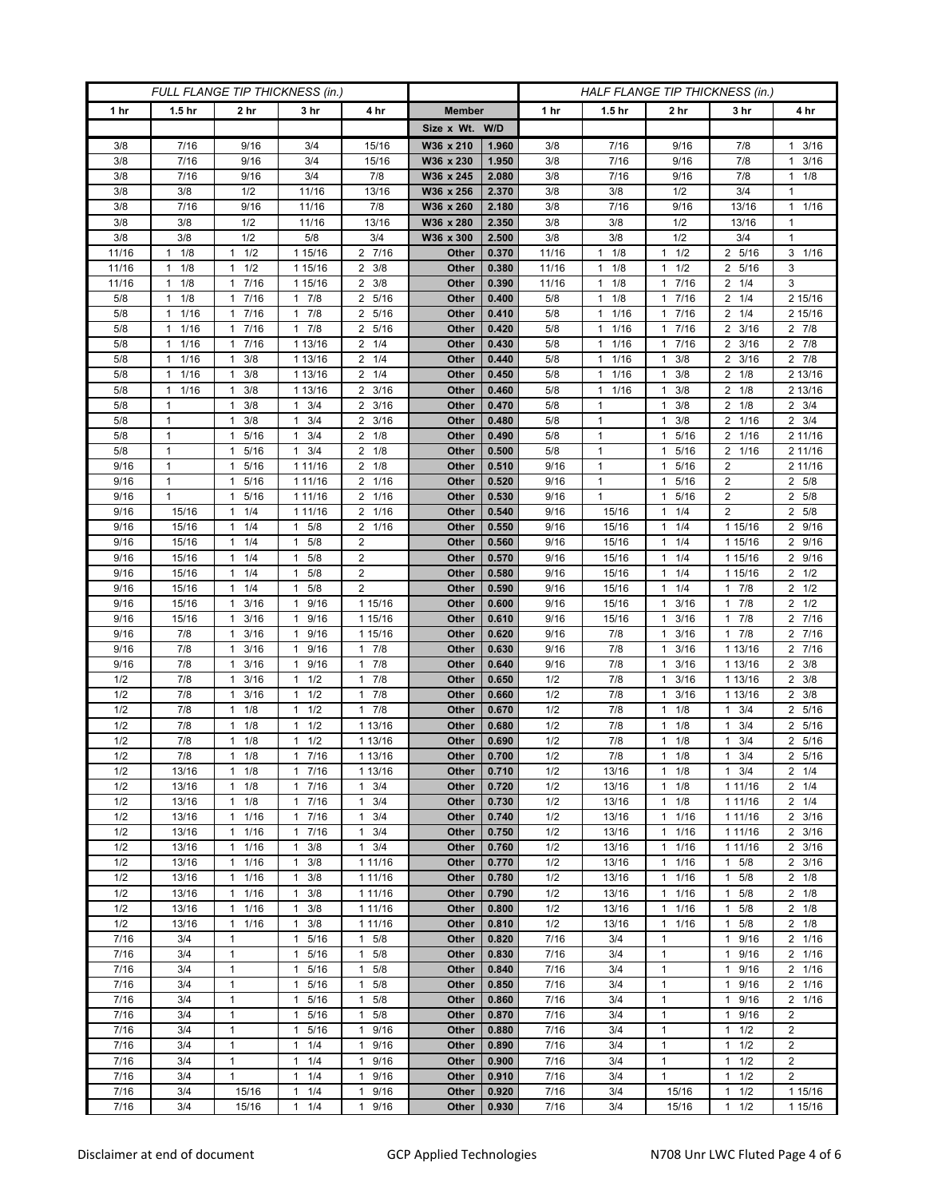| FULL FLANGE TIP THICKNESS (in.) |                      |                      |                      |                        | HALF FLANGE TIP THICKNESS (in.) |       |       |                      |                        |                     |                        |
|---------------------------------|----------------------|----------------------|----------------------|------------------------|---------------------------------|-------|-------|----------------------|------------------------|---------------------|------------------------|
| 1 hr                            | 1.5 <sub>hr</sub>    | 2 hr                 | 3 hr                 | 4 hr                   | <b>Member</b>                   |       | 1 hr  | 1.5 <sub>hr</sub>    | 2 hr                   | 3 hr                | 4 hr                   |
|                                 |                      |                      |                      |                        | Size x Wt. W/D                  |       |       |                      |                        |                     |                        |
| 3/8                             | 7/16                 | 9/16                 | 3/4                  | 15/16                  | W36 x 210                       | 1.960 | 3/8   | 7/16                 | 9/16                   | 7/8                 | $1 \t3/16$             |
| 3/8                             | 7/16                 | 9/16                 | 3/4                  | 15/16                  | W36 x 230                       | 1.950 | 3/8   | 7/16                 | 9/16                   | 7/8                 | 3/16<br>$\mathbf{1}$   |
| 3/8                             | 7/16                 | 9/16                 | 3/4                  | 7/8                    | W36 x 245                       | 2.080 | 3/8   | 7/16                 | 9/16                   | 7/8                 | $1 \t1/8$              |
| 3/8                             | 3/8                  | 1/2                  | 11/16                | 13/16                  | W36 x 256                       | 2.370 | 3/8   | 3/8                  | 1/2                    | 3/4                 | 1                      |
| 3/8                             | 7/16                 | 9/16                 | 11/16                | 7/8                    | W36 x 260                       | 2.180 | 3/8   | 7/16                 | 9/16                   | 13/16               | 11/16                  |
| 3/8                             | 3/8                  | 1/2                  | 11/16                | 13/16                  | W36 x 280                       | 2.350 | 3/8   | 3/8                  | 1/2                    | 13/16               | 1                      |
| 3/8                             | 3/8                  | 1/2                  | 5/8                  | 3/4                    | W36 x 300                       | 2.500 | 3/8   | 3/8                  | 1/2                    | 3/4                 | 1                      |
| 11/16                           | 1/8<br>$\mathbf{1}$  | 1/2<br>1             | 1 15/16              | 2 7/16                 | Other                           | 0.370 | 11/16 | 1/8<br>$\mathbf{1}$  | $\mathbf{1}$<br>1/2    | 2 5/16              | $3 \t1/16$             |
| 11/16                           | 1/8<br>1             | 1/2<br>1             | 1 15/16              | 3/8<br>2               | Other                           | 0.380 | 11/16 | 1/8<br>$\mathbf{1}$  | 1/2<br>$\mathbf{1}$    | 2 5/16              | 3                      |
| 11/16                           | 1/8<br>$\mathbf{1}$  | 7/16<br>$\mathbf{1}$ | 1 15/16              | $2 \frac{3}{8}$        | Other                           | 0.390 | 11/16 | 1/8<br>$\mathbf{1}$  | 7/16<br>$\mathbf{1}$   | $2 \t1/4$           | 3                      |
| 5/8                             | 1/8<br>$\mathbf{1}$  | 7/16<br>$\mathbf{1}$ | $1 \t7/8$            | 5/16<br>2              | Other                           | 0.400 | 5/8   | $1 \t1/8$            | 7/16<br>$\mathbf{1}$   | $2 \t1/4$           | 2 15/16                |
| 5/8                             | 1/16<br>$\mathbf{1}$ | 7/16<br>$\mathbf{1}$ | $1 \t7/8$            | 5/16<br>2              | Other                           | 0.410 | 5/8   | 1/16<br>1            | 7/16<br>$\mathbf{1}$   | $2 \t1/4$           | 2 15/16                |
| 5/8                             | 1/16<br>$\mathbf{1}$ | 7/16<br>$\mathbf{1}$ | $1 \t7/8$            | 5/16<br>2              | Other                           | 0.420 | 5/8   | 1/16<br>$\mathbf{1}$ | 7/16<br>$\mathbf{1}$   | $2 \frac{3}{16}$    | 2 7/8                  |
| 5/8                             | 1/16<br>$\mathbf{1}$ | 7/16<br>$\mathbf{1}$ | 1 13/16              | 1/4<br>$\overline{2}$  | Other                           | 0.430 | 5/8   | 1/16<br>$\mathbf{1}$ | 7/16<br>$\mathbf{1}$   | 3/16<br>2           | $2 \t 7/8$             |
| 5/8                             | 1/16<br>$\mathbf{1}$ | 3/8<br>$\mathbf{1}$  | 1 13/16              | 1/4<br>2               | Other                           | 0.440 | 5/8   | $1 \t1/16$           | 3/8<br>$\mathbf{1}$    | $2 \frac{3}{16}$    | $2 \t7/8$              |
| 5/8                             | 1/16<br>$\mathbf{1}$ | $1 \t3/8$            | 1 13/16              | $2 \t1/4$              | Other                           | 0.450 | 5/8   | 1/16<br>$\mathbf{1}$ | 3/8<br>$\mathbf{1}$    | $2 \t1/8$           | 2 13/16                |
| 5/8                             | 1/16<br>$\mathbf{1}$ | 3/8<br>1             | 1 13/16              | 3/16<br>2              | Other                           | 0.460 | 5/8   | 1/16<br>$\mathbf{1}$ | 3/8<br>$\mathbf{1}$    | 2<br>1/8            | 2 13/16                |
| 5/8                             | $\mathbf{1}$         | 3/8<br>$\mathbf{1}$  | $1 \t3/4$            | 3/16<br>$\overline{2}$ | Other                           | 0.470 | 5/8   | $\mathbf{1}$         | 3/8<br>$\mathbf{1}$    | $2 \t1/8$           | $2 \frac{3}{4}$        |
| 5/8                             | 1                    | $1 \t3/8$            | $1 \t3/4$            | 3/16<br>$\overline{2}$ | Other                           | 0.480 | 5/8   | 1                    | 3/8<br>1               | 2 1/16              | $2 \frac{3}{4}$        |
| 5/8                             | 1                    | 5/16<br>1            | 3/4<br>1             | 2<br>1/8               | Other                           | 0.490 | 5/8   | $\mathbf{1}$         | 5/16<br>$\mathbf{1}$   | 2<br>1/16           | 2 11/16                |
| 5/8                             | $\mathbf{1}$         | 5/16<br>1            | 3/4<br>$\mathbf{1}$  | 1/8<br>2               | Other                           | 0.500 | 5/8   | $\mathbf{1}$         | 5/16<br>$\mathbf{1}$   | 1/16<br>2           | 2 11/16                |
| 9/16                            | 1                    | 5/16<br>$\mathbf{1}$ | 1 11/16              | $2 \t1/8$              | Other                           | 0.510 | 9/16  | $\mathbf{1}$         | 5/16<br>$\mathbf{1}$   | 2                   | 2 11/16                |
| 9/16                            | 1                    | 5/16<br>1            | 1 11/16              | 1/16<br>2              | Other                           | 0.520 | 9/16  | $\mathbf{1}$         | 5/16<br>$\mathbf{1}$   | 2                   | 2 5/8                  |
| 9/16                            | $\mathbf{1}$         | 5/16<br>1            | 1 11/16              | $\overline{2}$<br>1/16 | Other                           | 0.530 | 9/16  | $\mathbf{1}$         | 5/16<br>$\mathbf{1}$   | $\overline{2}$      | 2 5/8                  |
| 9/16                            | 15/16                | $1 \t1/4$            | 1 11/16              | 2 1/16                 | Other                           | 0.540 | 9/16  | 15/16                | 1/4<br>$\mathbf{1}$    | $\overline{2}$      | 2 5/8                  |
| 9/16                            | 15/16                | 1/4<br>$\mathbf{1}$  | 5/8<br>$\mathbf{1}$  | 2<br>1/16              | Other                           | 0.550 | 9/16  | 15/16                | 1/4<br>$\mathbf{1}$    | 1 15/16             | 2 9/16                 |
| 9/16                            | 15/16                | 1/4<br>$\mathbf{1}$  | 5/8<br>1             | $\overline{2}$         | Other                           | 0.560 | 9/16  | 15/16                | 1/4<br>$\mathbf{1}$    | 1 15/16             | 2 9/16                 |
| 9/16                            | 15/16                | 1/4<br>$\mathbf{1}$  | 5/8<br>1             | $\overline{2}$         | Other                           | 0.570 | 9/16  | 15/16                | 1/4<br>$\mathbf{1}$    | 1 15/16             | 2 9/16                 |
| 9/16                            | 15/16                | 1/4<br>$\mathbf{1}$  | 5/8<br>1             | $\overline{2}$         | Other                           | 0.580 | 9/16  | 15/16                | 1/4<br>$\mathbf{1}$    | 1 15/16             | $2 \frac{1}{2}$        |
| 9/16                            | 15/16                | 1/4<br>$\mathbf{1}$  | 5/8<br>1             | $\overline{2}$         | Other                           | 0.590 | 9/16  | 15/16                | 1/4<br>$\mathbf{1}$    | 17/8                | $2 \frac{1}{2}$        |
| 9/16                            | 15/16                | 3/16<br>1            | 9/16<br>1            | 1 15/16                | Other                           | 0.600 | 9/16  | 15/16                | 3/16<br>$\mathbf{1}$   | 7/8<br>1            | $2 \frac{1}{2}$        |
| 9/16                            | 15/16                | 3/16<br>1            | 9/16<br>1            | 1 15/16                | Other                           | 0.610 | 9/16  | 15/16                | 3/16<br>$\mathbf{1}$   | 7/8<br>1            | 2 7/16                 |
| 9/16                            | 7/8                  | 3/16<br>$\mathbf{1}$ | 9/16<br>1            | 1 15/16                | Other                           | 0.620 | 9/16  | 7/8                  | 3/16<br>$\mathbf{1}$   | 17/8                | 2 7/16                 |
| 9/16                            | 7/8                  | 3/16<br>1            | 9/16<br>$\mathbf{1}$ | 7/8<br>$\mathbf{1}$    | Other                           | 0.630 | 9/16  | 7/8                  | 3/16<br>$\mathbf{1}$   | 1 13/16             | 2 7/16                 |
| 9/16                            | 7/8                  | 3/16<br>1            | 9/16<br>1            | 7/8<br>1               | Other                           | 0.640 | 9/16  | 7/8                  | 3/16<br>$\mathbf{1}$   | 1 13/16             | $2 \frac{3}{8}$        |
| 1/2                             | 7/8                  | 3/16<br>$\mathbf{1}$ | 1/2<br>$\mathbf{1}$  | 7/8<br>$\mathbf{1}$    | Other                           | 0.650 | 1/2   | 7/8                  | 3/16<br>$\mathbf{1}$   | 1 13/16             | $2 \frac{3}{8}$        |
| 1/2                             | 7/8                  | 3/16<br>1            | $1 \t1/2$            | 7/8<br>$\mathbf{1}$    | Other                           | 0.660 | 1/2   | 7/8                  | 3/16<br>$\mathbf{1}$   | 1 13/16             | $2 \frac{3}{8}$        |
| 1/2                             | 7/8                  | 1/8<br>1             | 1/2<br>1             | 7/8<br>1               | Other                           | 0.670 | 1/2   | 7/8                  | 1/8<br>$\mathbf{1}$    | 3/4<br>1            | 2 5/16                 |
| 1/2                             | 7/8                  | 1/8<br>1             | 1/2<br>1             | 1 13/16                | Other                           | 0.680 | 1/2   | 7/8                  | 1/8<br>$\mathbf{1}$    | 3/4                 | $\overline{2}$<br>5/16 |
| 1/2                             | 7/8                  | 1/8<br>1             | 1/2<br>$\mathbf{1}$  | 1 13/16                | Other                           | 0.690 | 1/2   | 7/8                  | 1/8<br>$\mathbf{1}$    | 3/4<br>1            | 2 5/16                 |
| 1/2                             | 7/8                  | 1/8<br>$\mathbf{1}$  | 7/16<br>$\mathbf{1}$ | 1 13/16                | Other                           | 0.700 | 1/2   | 7/8                  | 1/8<br>$\mathbf{1}$    | 3/4<br>1            | 2 5/16                 |
| 1/2                             | 13/16                | $1 \t1/8$            | 17/16                | 1 13/16                | Other                           | 0.710 | 1/2   | 13/16                | 1/8<br>$\mathbf{1}$    | $1 \t3/4$           | $2 \t1/4$              |
| 1/2                             | 13/16                | 1/8<br>$\mathbf{1}$  | 17/16                | $1 \t3/4$              | Other                           | 0.720 | 1/2   | 13/16                | 1/8<br>$\mathbf{1}$    | 1 1 1 / 16          | $2 \t1/4$              |
| 1/2                             | 13/16                | $1 \t1/8$            | 17/16                | 3/4<br>$\mathbf{1}$    | Other                           | 0.730 | 1/2   | 13/16                | 1/8<br>$\mathbf{1}$    | 1 11/16             | $2 \t1/4$              |
| 1/2                             | 13/16                | 1/16<br>$\mathbf{1}$ | 7/16<br>$\mathbf{1}$ | 3/4<br>1               | Other                           | 0.740 | 1/2   | 13/16                | 1/16<br>$\mathbf{1}$   | 1 11/16             | $2 \frac{3}{16}$       |
| 1/2                             | 13/16                | 1/16<br>$\mathbf{1}$ | 17/16                | 3/4<br>$\mathbf{1}$    | Other                           | 0.750 | 1/2   | 13/16                | 1/16<br>$\mathbf{1}$   | 1 1 1/16            | $2 \frac{3}{16}$       |
| 1/2                             | 13/16                | $1 \t1/16$           | $1 \t3/8$            | $1 \t3/4$              | Other                           | 0.760 | 1/2   | 13/16                | 1/16<br>$\mathbf{1}$   | 1 1 1 / 16          | $2 \frac{3}{16}$       |
| 1/2                             | 13/16                | 11/16                | 3/8<br>$\mathbf{1}$  | 1 11/16                | Other                           | 0.770 | 1/2   | 13/16                | 1/16<br>$\mathbf{1}$   | $1 \t5/8$           | $2 \frac{3}{16}$       |
| 1/2                             | 13/16                | 1/16<br>$\mathbf{1}$ | $1 \t3/8$            | 1 11/16                | Other                           | 0.780 | 1/2   | 13/16                | $1/16$<br>$\mathbf{1}$ | 5/8<br>$\mathbf{1}$ | $2 \t1/8$              |
| 1/2                             | 13/16                | 11/16                | $1 \t3/8$            | 1 11/16                | Other                           | 0.790 | 1/2   | 13/16                | 1/16<br>$\mathbf{1}$   | $1 \t5/8$           | $2 \t1/8$              |
| 1/2                             | 13/16                | 11/16                | $1 \t3/8$            | 1 11/16                | Other                           | 0.800 | 1/2   | 13/16                | 1/16<br>1              | 5/8<br>$\mathbf{1}$ | $2 \t1/8$              |
| 1/2                             | 13/16                | 1/16<br>$\mathbf{1}$ | 3/8<br>$\mathbf{1}$  | 1 11/16                | Other                           | 0.810 | 1/2   | 13/16                | 1/16<br>1              | 5/8<br>$\mathbf{1}$ | $2 \t1/8$              |
| 7/16                            | 3/4                  | $\mathbf{1}$         | $\mathbf{1}$<br>5/16 | 5/8<br>$\mathbf{1}$    | Other                           | 0.820 | 7/16  | 3/4                  | $\mathbf{1}$           | 9/16<br>1           | 2 1/16                 |
| 7/16                            | 3/4                  | $\mathbf{1}$         | 1 5/16               | $\mathbf{1}$<br>5/8    | Other                           | 0.830 | 7/16  | 3/4                  | $\mathbf{1}$           | 9/16<br>1           | 2 1/16                 |
| 7/16                            | 3/4                  | $\mathbf{1}$         | 5/16<br>1            | 5/8<br>1               | Other                           | 0.840 | 7/16  | 3/4                  | $\mathbf{1}$           | 9/16<br>1           | 2 1/16                 |
| 7/16                            | 3/4                  | $\mathbf{1}$         | 1<br>5/16            | 5/8<br>1               | Other                           | 0.850 | 7/16  | 3/4                  | $\mathbf{1}$           | 9/16<br>1           | 2 1/16                 |
| 7/16                            | 3/4                  | 1                    | 5/16<br>1            | 5/8<br>1               | Other                           | 0.860 | 7/16  | 3/4                  | $\mathbf{1}$           | 9/16<br>1           | 2 1/16                 |
| 7/16                            | 3/4                  | $\mathbf{1}$         | 5/16<br>$\mathbf{1}$ | $\mathbf{1}$<br>5/8    | Other                           | 0.870 | 7/16  | 3/4                  | $\mathbf{1}$           | 1 9/16              | $\overline{2}$         |
| 7/16                            | 3/4                  | $\mathbf{1}$         | $\mathbf{1}$<br>5/16 | 9/16<br>$\mathbf{1}$   | Other                           | 0.880 | 7/16  | 3/4                  | $\mathbf{1}$           | 1/2<br>1            | $\overline{2}$         |
| 7/16                            | 3/4                  | $\mathbf{1}$         | 1/4<br>$\mathbf{1}$  | 9/16<br>$\mathbf{1}$   | Other                           | 0.890 | 7/16  | 3/4                  | $\mathbf{1}$           | 1/2<br>$\mathbf{1}$ | $\overline{2}$         |
| 7/16                            | 3/4                  | $\mathbf{1}$         | $1 \t1/4$            | 9/16<br>$\mathbf{1}$   | Other                           | 0.900 | 7/16  | 3/4                  | $\mathbf{1}$           | 1/2<br>$\mathbf{1}$ | $\overline{2}$         |
| 7/16                            | 3/4                  | $\mathbf{1}$         | 1/4<br>$\mathbf{1}$  | 9/16<br>$\mathbf{1}$   | Other                           | 0.910 | 7/16  | 3/4                  | $\mathbf{1}$           | 1/2<br>1            | $\overline{2}$         |
| $7/16$                          | 3/4                  | 15/16                | 1/4<br>$\mathbf{1}$  | 9/16<br>1              | Other                           | 0.920 | 7/16  | 3/4                  | 15/16                  | 1/2<br>1            | 1 15/16                |
| 7/16                            | 3/4                  | 15/16                | $\mathbf{1}$<br>1/4  | 9/16<br>$\mathbf{1}$   | Other                           | 0.930 | 7/16  | 3/4                  | 15/16                  | 1/2<br>$\mathbf{1}$ | 1 15/16                |
|                                 |                      |                      |                      |                        |                                 |       |       |                      |                        |                     |                        |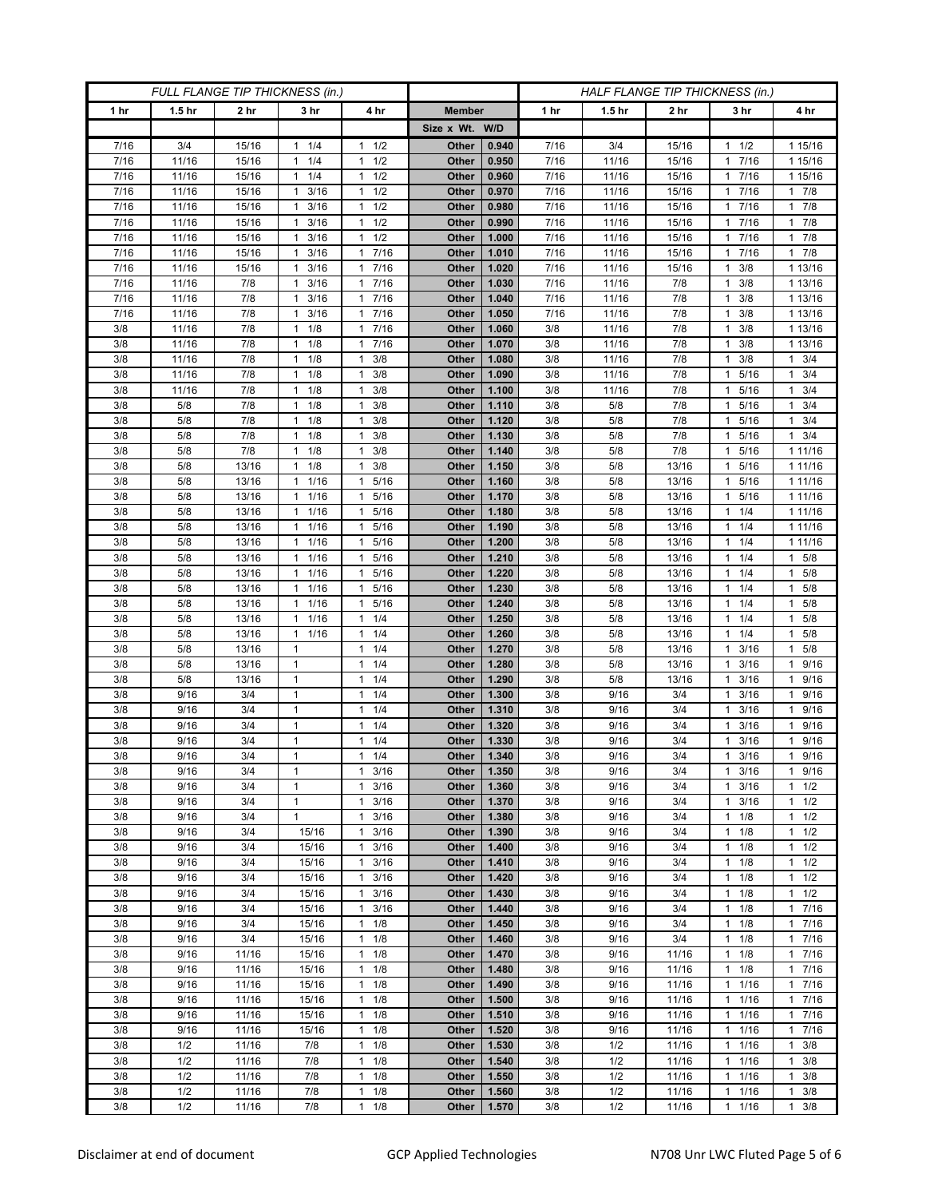| FULL FLANGE TIP THICKNESS (in.) |                   |                 |                                |                                              | HALF FLANGE TIP THICKNESS (in.) |                |              |                   |                 |                            |                        |
|---------------------------------|-------------------|-----------------|--------------------------------|----------------------------------------------|---------------------------------|----------------|--------------|-------------------|-----------------|----------------------------|------------------------|
| 1 hr                            | 1.5 <sub>hr</sub> | 2 <sub>hr</sub> | 3 <sub>hr</sub>                | 4 hr                                         | <b>Member</b>                   |                | 1 hr         | 1.5 <sub>hr</sub> | 2 <sub>hr</sub> | 3 hr                       | 4 hr                   |
|                                 |                   |                 |                                |                                              | Size x Wt. W/D                  |                |              |                   |                 |                            |                        |
| 7/16                            | 3/4               | 15/16           | 1/4<br>1                       | 1/2<br>$\mathbf{1}$                          | Other                           | 0.940          | 7/16         | 3/4               | 15/16           | 1/2<br>1                   | 1 15/16                |
| 7/16                            | 11/16             | 15/16           | 1/4<br>$\mathbf{1}$            | 1/2<br>$\mathbf{1}$                          | Other                           | 0.950          | 7/16         | 11/16             | 15/16           | 7/16<br>1                  | 1 15/16                |
| 7/16                            | 11/16             | 15/16           | $1 \t1/4$                      | 1/2<br>1                                     | Other                           | 0.960          | 7/16         | 11/16             | 15/16           | 1 7/16                     | 1 15/16                |
| 7/16                            | 11/16             | 15/16           | 3/16<br>-1                     | 1/2<br>$\mathbf{1}$                          | Other                           | 0.970          | 7/16         | 11/16             | 15/16           | 7/16<br>1                  | 17/8                   |
| 7/16                            | 11/16             | 15/16           | 3/16<br>$\mathbf{1}$           | $\mathbf{1}$<br>1/2                          | Other                           | 0.980          | 7/16         | 11/16             | 15/16           | 7/16<br>1                  | 17/8                   |
| 7/16                            | 11/16             | 15/16           | $\mathbf{1}$<br>3/16           | 1/2<br>$\mathbf{1}$                          | Other                           | 0.990          | 7/16         | 11/16             | 15/16           | 7/16<br>1.                 | 17/8                   |
| 7/16                            | 11/16             | 15/16           | 3/16<br>1                      | 1/2<br>$\mathbf{1}$                          | Other                           | 1.000          | 7/16         | 11/16             | 15/16           | 7/16<br>1                  | $1 \t7/8$              |
| 7/16                            | 11/16             | 15/16           | 3/16<br>1                      | 7/16<br>1                                    | Other                           | 1.010          | 7/16         | 11/16             | 15/16           | 7/16<br>1                  | 17/8                   |
| 7/16                            | 11/16             | 15/16           | 3/16<br>1                      | 7/16<br>$\mathbf{1}$                         | Other                           | 1.020          | 7/16         | 11/16             | 15/16           | 3/8                        | 1 13/16                |
| 7/16                            | 11/16             | 7/8             | 3/16<br>1                      | 7/16<br>$\mathbf{1}$                         | Other                           | 1.030          | 7/16         | 11/16             | 7/8             | 3/8<br>1                   | 1 13/16                |
| 7/16<br>7/16                    | 11/16<br>11/16    | 7/8<br>7/8      | 3/16<br>-1<br>3/16<br>1        | 7/16<br>$\mathbf{1}$<br>7/16<br>1            | Other<br>Other                  | 1.040<br>1.050 | 7/16<br>7/16 | 11/16<br>11/16    | 7/8<br>7/8      | 3/8<br>1<br>3/8            | 1 13/16<br>1 13/16     |
| 3/8                             | 11/16             | 7/8             | 1/8<br>$\mathbf{1}$            | 7/16<br>1                                    | Other                           | 1.060          | 3/8          | 11/16             | 7/8             | 3/8<br>1                   | 1 13/16                |
| 3/8                             | 11/16             | 7/8             | 1/8<br>$\mathbf{1}$            | 7/16<br>1                                    | Other                           | 1.070          | 3/8          | 11/16             | 7/8             | 3/8<br>1                   | 1 13/16                |
| 3/8                             | 11/16             | 7/8             | 1/8<br>1                       | 3/8<br>$\mathbf{1}$                          | Other                           | 1.080          | 3/8          | 11/16             | 7/8             | 3/8                        | $1 \t3/4$              |
| 3/8                             | 11/16             | 7/8             | 1/8<br>1                       | 3/8<br>$\mathbf{1}$                          | Other                           | 1.090          | 3/8          | 11/16             | 7/8             | 5/16<br>1                  | $1 \t3/4$              |
| 3/8                             | 11/16             | 7/8             | 1/8<br>$\mathbf{1}$            | 3/8<br>1                                     | Other                           | 1.100          | 3/8          | 11/16             | 7/8             | 5/16<br>1                  | $1 \t3/4$              |
| 3/8                             | 5/8               | 7/8             | $1 \t1/8$                      | 3/8<br>1                                     | Other                           | 1.110          | 3/8          | 5/8               | 7/8             | 5/16<br>$\mathbf{1}$       | $1 \t3/4$              |
| 3/8                             | 5/8               | 7/8             | 1/8<br>$\mathbf{1}$            | 3/8<br>1                                     | Other                           | 1.120          | 3/8          | 5/8               | 7/8             | 5/16<br>1                  | $1 \t3/4$              |
| 3/8                             | 5/8               | 7/8             | 1/8<br>1                       | 3/8<br>1                                     | Other                           | 1.130          | 3/8          | 5/8               | 7/8             | 5/16<br>1                  | 3/4<br>$\mathbf{1}$    |
| 3/8                             | 5/8               | 7/8             | $1 \t1/8$                      | 3/8<br>$\mathbf{1}$                          | Other                           | 1.140          | 3/8          | 5/8               | 7/8             | 5/16<br>1                  | 1 11/16                |
| 3/8                             | 5/8               | 13/16           | $1 \t1/8$                      | 3/8<br>1                                     | Other                           | 1.150          | 3/8          | 5/8               | 13/16           | 5/16<br>1                  | 1 11/16                |
| 3/8                             | 5/8               | 13/16           | 1/16<br>1                      | 5/16<br>1                                    | Other                           | 1.160          | 3/8          | 5/8               | 13/16           | 5/16                       | 1 11/16                |
| 3/8                             | 5/8               | 13/16           | 1/16<br>$\mathbf{1}$           | 5/16<br>1                                    | Other                           | 1.170          | 3/8          | 5/8               | 13/16           | 5/16<br>1                  | 1 11/16                |
| 3/8                             | 5/8               | 13/16           | 1 1/16                         | 5/16<br>1                                    | Other                           | 1.180          | 3/8          | 5/8               | 13/16           | $1 \t1/4$                  | 1 11/16                |
| 3/8                             | 5/8               | 13/16           | 1/16<br>1                      | 5/16<br>1                                    | Other                           | 1.190          | 3/8          | 5/8               | 13/16           | 1/4<br>1                   | 1 11/16                |
| 3/8                             | 5/8               | 13/16           | 1/16<br>$\mathbf{1}$           | 5/16<br>$\mathbf{1}$                         | Other                           | 1.200          | 3/8          | 5/8               | 13/16           | 1/4<br>1                   | 1 11/16                |
| 3/8                             | 5/8               | 13/16           | 1 1/16                         | 5/16<br>1                                    | Other                           | 1.210          | 3/8          | 5/8               | 13/16           | $1 \t1/4$                  | 1 5/8                  |
| 3/8                             | 5/8               | 13/16           | 1/16<br>-1                     | 5/16<br>1                                    | Other                           | 1.220          | 3/8          | 5/8               | 13/16           | 1/4<br>1                   | 5/8<br>1               |
| 3/8                             | 5/8               | 13/16           | 1/16<br>1                      | 5/16<br>$\mathbf{1}$                         | Other                           | 1.230          | 3/8          | 5/8               | 13/16           | 1/4<br>1                   | 1 5/8                  |
| 3/8<br>3/8                      | 5/8<br>5/8        | 13/16<br>13/16  | 1 1/16<br>1/16<br>$\mathbf{1}$ | 5/16<br>$\mathbf{1}$<br>1/4<br>$\mathbf{1}$  | Other<br>Other                  | 1.240<br>1.250 | 3/8<br>3/8   | 5/8<br>5/8        | 13/16<br>13/16  | 1/4<br>1.<br>1/4<br>1      | $1 \t5/8$<br>$1 \t5/8$ |
| 3/8                             | 5/8               | 13/16           | 1/16<br>1                      | 1/4<br>$\mathbf{1}$                          | Other                           | 1.260          | 3/8          | 5/8               | 13/16           | 1/4<br>1                   | $1 \t5/8$              |
| 3/8                             | 5/8               | 13/16           | 1                              | 1/4<br>$\mathbf{1}$                          | Other                           | 1.270          | 3/8          | 5/8               | 13/16           | 3/16                       | 5/8<br>$\mathbf{1}$    |
| 3/8                             | 5/8               | 13/16           | $\mathbf{1}$                   | 1/4<br>$\mathbf{1}$                          | Other                           | 1.280          | 3/8          | 5/8               | 13/16           | 3/16<br>1                  | 9/16<br>$\mathbf{1}$   |
| 3/8                             | 5/8               | 13/16           | $\mathbf{1}$                   | 1/4<br>1                                     | Other                           | 1.290          | 3/8          | 5/8               | 13/16           | 3/16<br>1                  | 1 9/16                 |
| 3/8                             | 9/16              | 3/4             | 1                              | $\mathbf{1}$<br>1/4                          | Other                           | 1.300          | 3/8          | 9/16              | 3/4             | 3/16                       | 9/16<br>$\mathbf{1}$   |
| 3/8                             | 9/16              | 3/4             | $\mathbf{1}$                   | 1/4<br>$\mathbf{1}$                          | Other                           | 1.310          | 3/8          | 9/16              | 3/4             | 3/16<br>1                  | 9/16<br>1              |
| 3/8                             | 9/16              | 3/4             | $\mathbf{1}$                   | 1/4<br>$\mathbf{1}$                          | Other                           | 1.320          | 3/8          | 9/16              | 3/4             | 3/16<br>1                  | 9/16<br>$\mathbf{1}$   |
| 3/8                             | 9/16              | 3/4             | 1                              | 1/4<br>$\mathbf{1}$                          | Other                           | 1.330          | 3/8          | 9/16              | 3/4             | 3/16                       | 9/16<br>$\mathbf{1}$   |
| 3/8                             | 9/16              | 3/4             | $\mathbf{1}$                   | 1/4<br>$\mathbf{1}$                          | Other                           | 1.340          | 3/8          | 9/16              | 3/4             | 3/16<br>$\mathbf{1}$       | 9/16<br>$\mathbf{1}$   |
| 3/8                             | 9/16              | 3/4             | $\mathbf{1}$                   | 3/16<br>$\mathbf{1}$                         | Other                           | 1.350          | 3/8          | 9/16              | 3/4             | 3/16<br>$\mathbf{1}$       | 1 9/16                 |
| 3/8                             | 9/16              | 3/4             | $\mathbf{1}$                   | $\mathbf{1}$<br>3/16                         | Other                           | 1.360          | 3/8          | 9/16              | 3/4             | 3/16<br>1                  | $1 \t1/2$              |
| 3/8                             | 9/16              | 3/4             | $\mathbf{1}$                   | 3/16<br>1                                    | Other                           | 1.370          | 3/8          | 9/16              | 3/4             | 3/16<br>1                  | $1 \t1/2$              |
| 3/8                             | 9/16              | 3/4             | $\mathbf{1}$                   | 3/16<br>$\mathbf{1}$                         | Other                           | 1.380          | 3/8          | 9/16              | 3/4             | 1/8<br>1                   | $1 \t1/2$              |
| 3/8                             | 9/16              | 3/4             | 15/16                          | 3/16<br>$\mathbf{1}$                         | Other                           | 1.390          | 3/8          | 9/16              | 3/4             | 1/8<br>1                   | $1 \t1/2$              |
| 3/8                             | 9/16              | 3/4             | 15/16                          | 3/16<br>1                                    | Other                           | 1.400          | 3/8          | 9/16              | 3/4             | $1 \t1/8$                  | $1 \t1/2$              |
| 3/8<br>3/8                      | 9/16<br>9/16      | 3/4<br>3/4      | 15/16<br>15/16                 | 3/16<br>$\mathbf{1}$<br>3/16<br>$\mathbf{1}$ | Other<br>Other                  | 1.410<br>1.420 | 3/8<br>3/8   | 9/16<br>9/16      | 3/4<br>3/4      | 1/8<br>1/8<br>$\mathbf{1}$ | $1 \t1/2$<br>$1 \t1/2$ |
| 3/8                             | 9/16              | 3/4             | 15/16                          | 3/16<br>$\mathbf{1}$                         | Other                           | 1.430          | 3/8          | 9/16              | 3/4             | $1 \t1/8$                  | $1 \t1/2$              |
| 3/8                             | 9/16              | 3/4             | 15/16                          | 3/16<br>$\mathbf{1}$                         | Other                           | 1.440          | 3/8          | 9/16              | 3/4             | 1/8<br>1                   | 17/16                  |
| 3/8                             | 9/16              | 3/4             | 15/16                          | 1/8<br>$\mathbf{1}$                          | Other                           | 1.450          | 3/8          | 9/16              | 3/4             | 1/8<br>$\mathbf{1}$        | 17/16                  |
| 3/8                             | 9/16              | 3/4             | 15/16                          | 1/8<br>$\mathbf{1}$                          | Other                           | 1.460          | 3/8          | 9/16              | 3/4             | 1/8<br>1.                  | 17/16                  |
| 3/8                             | 9/16              | 11/16           | 15/16                          | 1/8<br>$\mathbf{1}$                          | Other                           | 1.470          | 3/8          | 9/16              | 11/16           | 1/8<br>1                   | 17/16                  |
| 3/8                             | 9/16              | 11/16           | 15/16                          | 1/8<br>$\mathbf{1}$                          | Other                           | 1.480          | 3/8          | 9/16              | 11/16           | 1/8<br>1                   | 17/16                  |
| 3/8                             | 9/16              | 11/16           | 15/16                          | 1/8<br>$\mathbf{1}$                          | Other                           | 1.490          | 3/8          | 9/16              | 11/16           | 11/16                      | 17/16                  |
| 3/8                             | 9/16              | 11/16           | 15/16                          | 1/8<br>1                                     | Other                           | 1.500          | 3/8          | 9/16              | 11/16           | 1/16<br>$\mathbf{1}$       | 17/16                  |
| 3/8                             | 9/16              | 11/16           | 15/16                          | 1/8<br>1                                     | Other                           | 1.510          | 3/8          | 9/16              | 11/16           | 1/16<br>1                  | 17/16                  |
| 3/8                             | 9/16              | 11/16           | 15/16                          | 1/8<br>$\mathbf{1}$                          | Other                           | 1.520          | 3/8          | 9/16              | 11/16           | 11/16                      | 17/16                  |
| 3/8                             | 1/2               | 11/16           | 7/8                            | 1/8<br>$\mathbf{1}$                          | Other                           | 1.530          | 3/8          | 1/2               | 11/16           | 1/16<br>1                  | $1 \t3/8$              |
| 3/8                             | 1/2               | 11/16           | 7/8                            | 1/8<br>$\mathbf{1}$                          | Other                           | 1.540          | 3/8          | 1/2               | 11/16           | 1/16<br>$\mathbf{1}$       | $1 \t3/8$              |
| 3/8                             | 1/2               | 11/16           | 7/8                            | 1<br>1/8                                     | Other                           | 1.550          | 3/8          | 1/2               | 11/16           | 1/16<br>1                  | 3/8<br>$\mathbf{1}$    |
| 3/8                             | 1/2               | 11/16           | 7/8                            | 1/8<br>1                                     | Other                           | 1.560          | 3/8          | 1/2               | 11/16           | 1/16<br>1                  | 3/8<br>$\mathbf{1}$    |
| 3/8                             | 1/2               | 11/16           | 7/8                            | 1/8<br>$\mathbf{1}$                          | Other                           | 1.570          | 3/8          | 1/2               | 11/16           | $\mathbf{1}$<br>1/16       | $1 \t3/8$              |